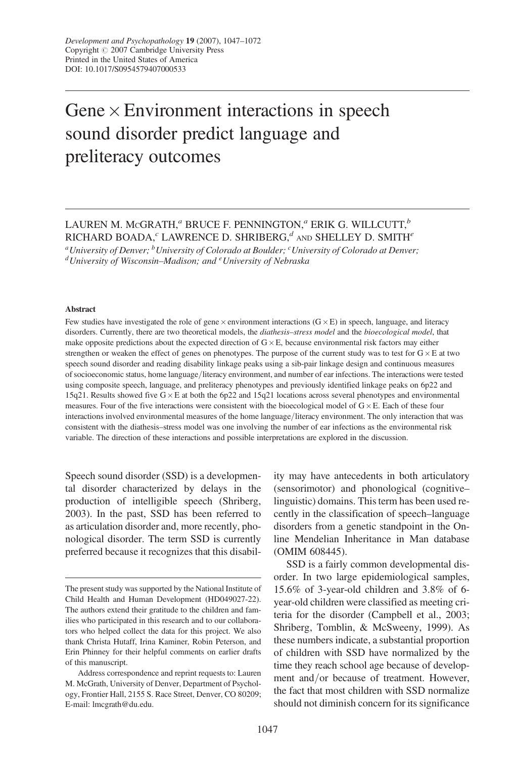# Gene  $\times$  Environment interactions in speech sound disorder predict language and preliteracy outcomes

## LAUREN M. MCGRATH,<sup>a</sup> BRUCE F. PENNINGTON,<sup>a</sup> ERIK G. WILLCUTT,<sup>b</sup> RICHARD BOADA, $c$  LAWRENCE D. SHRIBERG, $d$  and SHELLEY D. SMITH $e$

<sup>a</sup>University of Denver; <sup>b</sup>University of Colorado at Boulder; <sup>c</sup>University of Colorado at Denver;<br><sup>d</sup>University of Wisconsin–Madison; and <sup>e</sup>University of Nebraska

#### Abstract

Few studies have investigated the role of gene  $\times$  environment interactions ( $G \times E$ ) in speech, language, and literacy disorders. Currently, there are two theoretical models, the *diathesis-stress model* and the *bioecological model*, that make opposite predictions about the expected direction of  $G \times E$ , because environmental risk factors may either strengthen or weaken the effect of genes on phenotypes. The purpose of the current study was to test for  $G \times E$  at two speech sound disorder and reading disability linkage peaks using a sib-pair linkage design and continuous measures of socioeconomic status, home language/literacy environment, and number of ear infections. The interactions were tested using composite speech, language, and preliteracy phenotypes and previously identified linkage peaks on 6p22 and 15q21. Results showed five  $G \times E$  at both the 6p22 and 15q21 locations across several phenotypes and environmental measures. Four of the five interactions were consistent with the bioecological model of  $G \times E$ . Each of these four interactions involved environmental measures of the home language/literacy environment. The only interaction that was consistent with the diathesis–stress model was one involving the number of ear infections as the environmental risk variable. The direction of these interactions and possible interpretations are explored in the discussion.

Speech sound disorder (SSD) is a developmental disorder characterized by delays in the production of intelligible speech (Shriberg, 2003). In the past, SSD has been referred to as articulation disorder and, more recently, phonological disorder. The term SSD is currently preferred because it recognizes that this disability may have antecedents in both articulatory (sensorimotor) and phonological (cognitive– linguistic) domains. This term has been used recently in the classification of speech–language disorders from a genetic standpoint in the Online Mendelian Inheritance in Man database (OMIM 608445).

SSD is a fairly common developmental disorder. In two large epidemiological samples, 15.6% of 3-year-old children and 3.8% of 6 year-old children were classified as meeting criteria for the disorder (Campbell et al., 2003; Shriberg, Tomblin, & McSweeny, 1999). As these numbers indicate, a substantial proportion of children with SSD have normalized by the time they reach school age because of development and/or because of treatment. However, the fact that most children with SSD normalize should not diminish concern for its significance

The present study was supported by the National Institute of Child Health and Human Development (HD049027-22). The authors extend their gratitude to the children and families who participated in this research and to our collaborators who helped collect the data for this project. We also thank Christa Hutaff, Irina Kaminer, Robin Peterson, and Erin Phinney for their helpful comments on earlier drafts of this manuscript.

Address correspondence and reprint requests to: Lauren M. McGrath, University of Denver, Department of Psychology, Frontier Hall, 2155 S. Race Street, Denver, CO 80209; E-mail: lmcgrath@du.edu.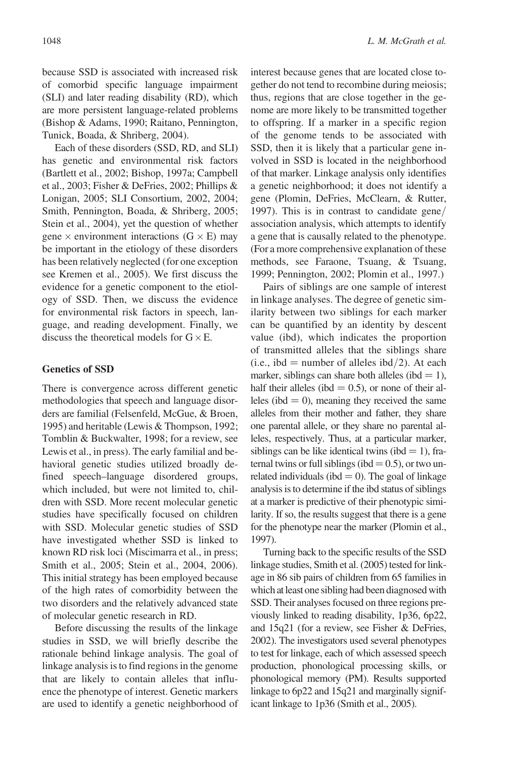because SSD is associated with increased risk of comorbid specific language impairment (SLI) and later reading disability (RD), which are more persistent language-related problems (Bishop & Adams, 1990; Raitano, Pennington, Tunick, Boada, & Shriberg, 2004).

Each of these disorders (SSD, RD, and SLI) has genetic and environmental risk factors (Bartlett et al., 2002; Bishop, 1997a; Campbell et al., 2003; Fisher & DeFries, 2002; Phillips & Lonigan, 2005; SLI Consortium, 2002, 2004; Smith, Pennington, Boada, & Shriberg, 2005; Stein et al., 2004), yet the question of whether gene  $\times$  environment interactions (G  $\times$  E) may be important in the etiology of these disorders has been relatively neglected (for one exception see Kremen et al., 2005). We first discuss the evidence for a genetic component to the etiology of SSD. Then, we discuss the evidence for environmental risk factors in speech, language, and reading development. Finally, we discuss the theoretical models for  $G \times E$ .

## Genetics of SSD

There is convergence across different genetic methodologies that speech and language disorders are familial (Felsenfeld, McGue, & Broen, 1995) and heritable (Lewis & Thompson, 1992; Tomblin & Buckwalter, 1998; for a review, see Lewis et al., in press). The early familial and behavioral genetic studies utilized broadly defined speech–language disordered groups, which included, but were not limited to, children with SSD. More recent molecular genetic studies have specifically focused on children with SSD. Molecular genetic studies of SSD have investigated whether SSD is linked to known RD risk loci (Miscimarra et al., in press; Smith et al., 2005; Stein et al., 2004, 2006). This initial strategy has been employed because of the high rates of comorbidity between the two disorders and the relatively advanced state of molecular genetic research in RD.

Before discussing the results of the linkage studies in SSD, we will briefly describe the rationale behind linkage analysis. The goal of linkage analysis is to find regions in the genome that are likely to contain alleles that influence the phenotype of interest. Genetic markers are used to identify a genetic neighborhood of interest because genes that are located close together do not tend to recombine during meiosis; thus, regions that are close together in the genome are more likely to be transmitted together to offspring. If a marker in a specific region of the genome tends to be associated with SSD, then it is likely that a particular gene involved in SSD is located in the neighborhood of that marker. Linkage analysis only identifies a genetic neighborhood; it does not identify a gene (Plomin, DeFries, McClearn, & Rutter, 1997). This is in contrast to candidate gene/ association analysis, which attempts to identify a gene that is causally related to the phenotype. (For a more comprehensive explanation of these methods, see Faraone, Tsuang, & Tsuang, 1999; Pennington, 2002; Plomin et al., 1997.)

Pairs of siblings are one sample of interest in linkage analyses. The degree of genetic similarity between two siblings for each marker can be quantified by an identity by descent value (ibd), which indicates the proportion of transmitted alleles that the siblings share (i.e., ibd = number of alleles ibd/2). At each marker, siblings can share both alleles (ibd  $= 1$ ), half their alleles (ibd  $= 0.5$ ), or none of their alleles (ibd  $= 0$ ), meaning they received the same alleles from their mother and father, they share one parental allele, or they share no parental alleles, respectively. Thus, at a particular marker, siblings can be like identical twins (ibd  $= 1$ ), fraternal twins or full siblings (ibd  $= 0.5$ ), or two unrelated individuals (ibd  $= 0$ ). The goal of linkage analysis is to determine if the ibd status of siblings at a marker is predictive of their phenotypic similarity. If so, the results suggest that there is a gene for the phenotype near the marker (Plomin et al., 1997).

Turning back to the specific results of the SSD linkage studies, Smith et al. (2005) tested for linkage in 86 sib pairs of children from 65 families in which at least one sibling had been diagnosed with SSD. Their analyses focused on three regions previously linked to reading disability, 1p36, 6p22, and 15q21 (for a review, see Fisher & DeFries, 2002). The investigators used several phenotypes to test for linkage, each of which assessed speech production, phonological processing skills, or phonological memory (PM). Results supported linkage to 6p22 and 15q21 and marginally significant linkage to 1p36 (Smith et al., 2005).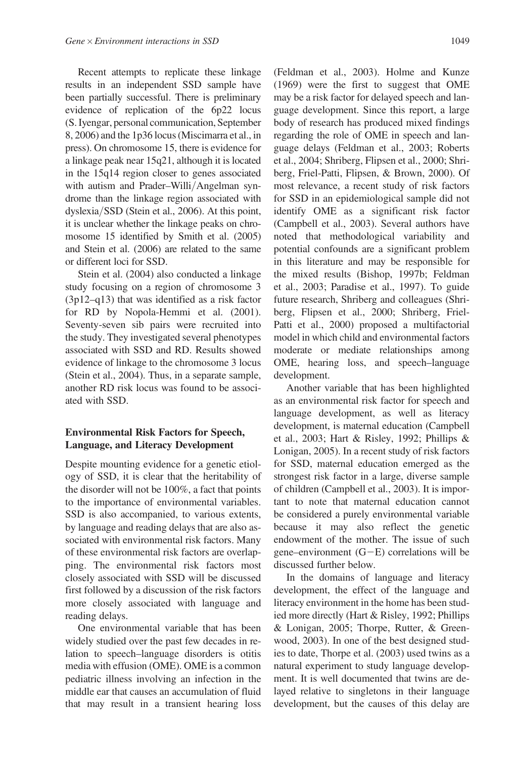Recent attempts to replicate these linkage results in an independent SSD sample have been partially successful. There is preliminary evidence of replication of the 6p22 locus (S. Iyengar, personal communication, September 8, 2006) and the 1p36 locus (Miscimarra et al., in press). On chromosome 15, there is evidence for a linkage peak near 15q21, although it is located in the 15q14 region closer to genes associated with autism and Prader–Willi/Angelman syndrome than the linkage region associated with dyslexia/SSD (Stein et al., 2006). At this point, it is unclear whether the linkage peaks on chromosome 15 identified by Smith et al. (2005) and Stein et al. (2006) are related to the same or different loci for SSD.

Stein et al. (2004) also conducted a linkage study focusing on a region of chromosome 3 (3p12–q13) that was identified as a risk factor for RD by Nopola-Hemmi et al. (2001). Seventy-seven sib pairs were recruited into the study. They investigated several phenotypes associated with SSD and RD. Results showed evidence of linkage to the chromosome 3 locus (Stein et al., 2004). Thus, in a separate sample, another RD risk locus was found to be associated with SSD.

## Environmental Risk Factors for Speech, Language, and Literacy Development

Despite mounting evidence for a genetic etiology of SSD, it is clear that the heritability of the disorder will not be 100%, a fact that points to the importance of environmental variables. SSD is also accompanied, to various extents, by language and reading delays that are also associated with environmental risk factors. Many of these environmental risk factors are overlapping. The environmental risk factors most closely associated with SSD will be discussed first followed by a discussion of the risk factors more closely associated with language and reading delays.

One environmental variable that has been widely studied over the past few decades in relation to speech–language disorders is otitis media with effusion (OME). OME is a common pediatric illness involving an infection in the middle ear that causes an accumulation of fluid that may result in a transient hearing loss

(Feldman et al., 2003). Holme and Kunze (1969) were the first to suggest that OME may be a risk factor for delayed speech and language development. Since this report, a large body of research has produced mixed findings regarding the role of OME in speech and language delays (Feldman et al., 2003; Roberts et al., 2004; Shriberg, Flipsen et al., 2000; Shriberg, Friel-Patti, Flipsen, & Brown, 2000). Of most relevance, a recent study of risk factors for SSD in an epidemiological sample did not identify OME as a significant risk factor (Campbell et al., 2003). Several authors have noted that methodological variability and potential confounds are a significant problem in this literature and may be responsible for the mixed results (Bishop, 1997b; Feldman et al., 2003; Paradise et al., 1997). To guide future research, Shriberg and colleagues (Shriberg, Flipsen et al., 2000; Shriberg, Friel-Patti et al., 2000) proposed a multifactorial model in which child and environmental factors moderate or mediate relationships among OME, hearing loss, and speech–language development.

Another variable that has been highlighted as an environmental risk factor for speech and language development, as well as literacy development, is maternal education (Campbell et al., 2003; Hart & Risley, 1992; Phillips & Lonigan, 2005). In a recent study of risk factors for SSD, maternal education emerged as the strongest risk factor in a large, diverse sample of children (Campbell et al., 2003). It is important to note that maternal education cannot be considered a purely environmental variable because it may also reflect the genetic endowment of the mother. The issue of such gene–environment  $(G-E)$  correlations will be discussed further below.

In the domains of language and literacy development, the effect of the language and literacy environment in the home has been studied more directly (Hart & Risley, 1992; Phillips & Lonigan, 2005; Thorpe, Rutter, & Greenwood, 2003). In one of the best designed studies to date, Thorpe et al. (2003) used twins as a natural experiment to study language development. It is well documented that twins are delayed relative to singletons in their language development, but the causes of this delay are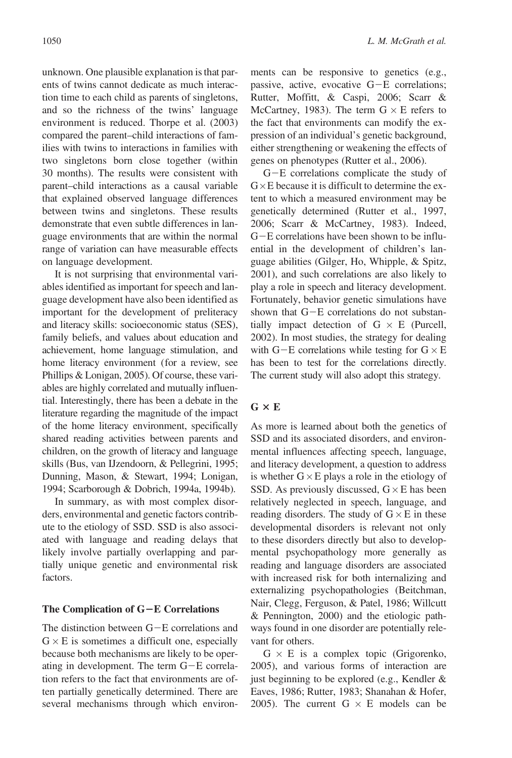unknown. One plausible explanation is that parents of twins cannot dedicate as much interaction time to each child as parents of singletons, and so the richness of the twins' language environment is reduced. Thorpe et al. (2003) compared the parent–child interactions of families with twins to interactions in families with two singletons born close together (within 30 months). The results were consistent with parent–child interactions as a causal variable that explained observed language differences between twins and singletons. These results demonstrate that even subtle differences in language environments that are within the normal range of variation can have measurable effects on language development.

It is not surprising that environmental variables identified as important for speech and language development have also been identified as important for the development of preliteracy and literacy skills: socioeconomic status (SES), family beliefs, and values about education and achievement, home language stimulation, and home literacy environment (for a review, see Phillips & Lonigan, 2005). Of course, these variables are highly correlated and mutually influential. Interestingly, there has been a debate in the literature regarding the magnitude of the impact of the home literacy environment, specifically shared reading activities between parents and children, on the growth of literacy and language skills (Bus, van IJzendoorn, & Pellegrini, 1995; Dunning, Mason, & Stewart, 1994; Lonigan, 1994; Scarborough & Dobrich, 1994a, 1994b).

In summary, as with most complex disorders, environmental and genetic factors contribute to the etiology of SSD. SSD is also associated with language and reading delays that likely involve partially overlapping and partially unique genetic and environmental risk factors.

#### The Complication of  $G-E$  Correlations

The distinction between  $G-E$  correlations and  $G \times E$  is sometimes a difficult one, especially because both mechanisms are likely to be operating in development. The term  $G-E$  correlation refers to the fact that environments are often partially genetically determined. There are several mechanisms through which environments can be responsive to genetics (e.g., passive, active, evocative  $G-E$  correlations; Rutter, Moffitt, & Caspi, 2006; Scarr & McCartney, 1983). The term  $G \times E$  refers to the fact that environments can modify the expression of an individual's genetic background, either strengthening or weakening the effects of genes on phenotypes (Rutter et al., 2006).

 $G-E$  correlations complicate the study of  $G \times E$  because it is difficult to determine the extent to which a measured environment may be genetically determined (Rutter et al., 1997, 2006; Scarr & McCartney, 1983). Indeed,  $G-E$  correlations have been shown to be influential in the development of children's language abilities (Gilger, Ho, Whipple, & Spitz, 2001), and such correlations are also likely to play a role in speech and literacy development. Fortunately, behavior genetic simulations have shown that  $G-E$  correlations do not substantially impact detection of  $G \times E$  (Purcell, 2002). In most studies, the strategy for dealing with G-E correlations while testing for  $G \times E$ has been to test for the correlations directly. The current study will also adopt this strategy.

## $G \times E$

As more is learned about both the genetics of SSD and its associated disorders, and environmental influences affecting speech, language, and literacy development, a question to address is whether  $G \times E$  plays a role in the etiology of SSD. As previously discussed,  $G \times E$  has been relatively neglected in speech, language, and reading disorders. The study of  $G \times E$  in these developmental disorders is relevant not only to these disorders directly but also to developmental psychopathology more generally as reading and language disorders are associated with increased risk for both internalizing and externalizing psychopathologies (Beitchman, Nair, Clegg, Ferguson, & Patel, 1986; Willcutt & Pennington, 2000) and the etiologic pathways found in one disorder are potentially relevant for others.

 $G \times E$  is a complex topic (Grigorenko, 2005), and various forms of interaction are just beginning to be explored (e.g., Kendler & Eaves, 1986; Rutter, 1983; Shanahan & Hofer, 2005). The current  $G \times E$  models can be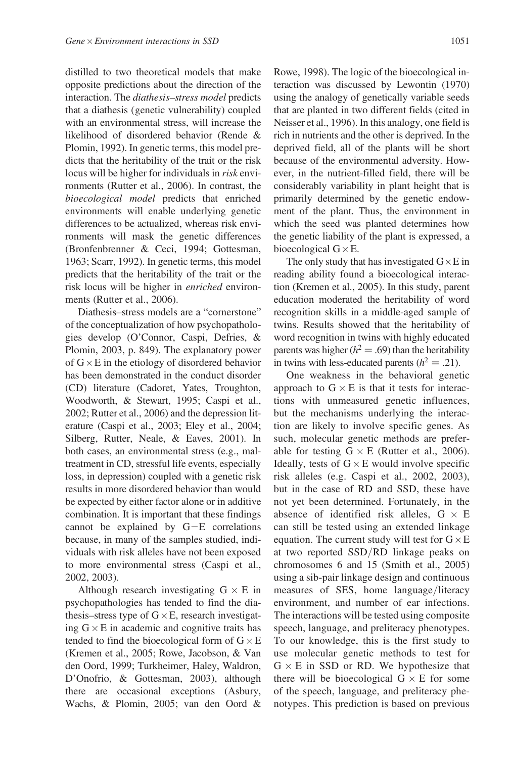distilled to two theoretical models that make opposite predictions about the direction of the interaction. The diathesis–stress model predicts that a diathesis (genetic vulnerability) coupled with an environmental stress, will increase the likelihood of disordered behavior (Rende & Plomin, 1992). In genetic terms, this model predicts that the heritability of the trait or the risk locus will be higher for individuals in risk environments (Rutter et al., 2006). In contrast, the bioecological model predicts that enriched environments will enable underlying genetic differences to be actualized, whereas risk environments will mask the genetic differences (Bronfenbrenner & Ceci, 1994; Gottesman, 1963; Scarr, 1992). In genetic terms, this model predicts that the heritability of the trait or the risk locus will be higher in enriched environments (Rutter et al., 2006).

Diathesis–stress models are a "cornerstone" of the conceptualization of how psychopathologies develop (O'Connor, Caspi, Defries, & Plomin, 2003, p. 849). The explanatory power of  $G \times E$  in the etiology of disordered behavior has been demonstrated in the conduct disorder (CD) literature (Cadoret, Yates, Troughton, Woodworth, & Stewart, 1995; Caspi et al., 2002; Rutter et al., 2006) and the depression literature (Caspi et al., 2003; Eley et al., 2004; Silberg, Rutter, Neale, & Eaves, 2001). In both cases, an environmental stress (e.g., maltreatment in CD, stressful life events, especially loss, in depression) coupled with a genetic risk results in more disordered behavior than would be expected by either factor alone or in additive combination. It is important that these findings cannot be explained by  $G-E$  correlations because, in many of the samples studied, individuals with risk alleles have not been exposed to more environmental stress (Caspi et al., 2002, 2003).

Although research investigating  $G \times E$  in psychopathologies has tended to find the diathesis–stress type of  $G \times E$ , research investigating  $G \times E$  in academic and cognitive traits has tended to find the bioecological form of  $G \times E$ (Kremen et al., 2005; Rowe, Jacobson, & Van den Oord, 1999; Turkheimer, Haley, Waldron, D'Onofrio, & Gottesman, 2003), although there are occasional exceptions (Asbury, Wachs, & Plomin, 2005; van den Oord &

Rowe, 1998). The logic of the bioecological interaction was discussed by Lewontin (1970) using the analogy of genetically variable seeds that are planted in two different fields (cited in Neisser et al., 1996). In this analogy, one field is rich in nutrients and the other is deprived. In the deprived field, all of the plants will be short because of the environmental adversity. However, in the nutrient-filled field, there will be considerably variability in plant height that is primarily determined by the genetic endowment of the plant. Thus, the environment in which the seed was planted determines how the genetic liability of the plant is expressed, a bioecological  $G \times E$ .

The only study that has investigated  $G \times E$  in reading ability found a bioecological interaction (Kremen et al., 2005). In this study, parent education moderated the heritability of word recognition skills in a middle-aged sample of twins. Results showed that the heritability of word recognition in twins with highly educated parents was higher ( $h^2 = .69$ ) than the heritability in twins with less-educated parents  $(h^2 = .21)$ .

One weakness in the behavioral genetic approach to  $G \times E$  is that it tests for interactions with unmeasured genetic influences, but the mechanisms underlying the interaction are likely to involve specific genes. As such, molecular genetic methods are preferable for testing  $G \times E$  (Rutter et al., 2006). Ideally, tests of  $G \times E$  would involve specific risk alleles (e.g. Caspi et al., 2002, 2003), but in the case of RD and SSD, these have not yet been determined. Fortunately, in the absence of identified risk alleles,  $G \times E$ can still be tested using an extended linkage equation. The current study will test for  $G \times E$ at two reported SSD/RD linkage peaks on chromosomes 6 and 15 (Smith et al., 2005) using a sib-pair linkage design and continuous measures of SES, home language/literacy environment, and number of ear infections. The interactions will be tested using composite speech, language, and preliteracy phenotypes. To our knowledge, this is the first study to use molecular genetic methods to test for  $G \times E$  in SSD or RD. We hypothesize that there will be bioecological  $G \times E$  for some of the speech, language, and preliteracy phenotypes. This prediction is based on previous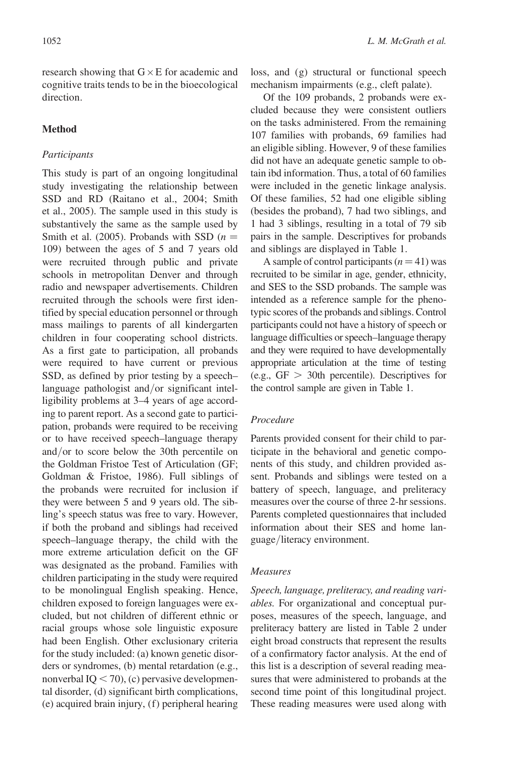research showing that  $G \times E$  for academic and cognitive traits tends to be in the bioecological direction.

## Method

## Participants

This study is part of an ongoing longitudinal study investigating the relationship between SSD and RD (Raitano et al., 2004; Smith et al., 2005). The sample used in this study is substantively the same as the sample used by Smith et al. (2005). Probands with SSD  $(n =$ 109) between the ages of 5 and 7 years old were recruited through public and private schools in metropolitan Denver and through radio and newspaper advertisements. Children recruited through the schools were first identified by special education personnel or through mass mailings to parents of all kindergarten children in four cooperating school districts. As a first gate to participation, all probands were required to have current or previous SSD, as defined by prior testing by a speech– language pathologist and/or significant intelligibility problems at 3–4 years of age according to parent report. As a second gate to participation, probands were required to be receiving or to have received speech–language therapy and/or to score below the 30th percentile on the Goldman Fristoe Test of Articulation (GF; Goldman & Fristoe, 1986). Full siblings of the probands were recruited for inclusion if they were between 5 and 9 years old. The sibling's speech status was free to vary. However, if both the proband and siblings had received speech–language therapy, the child with the more extreme articulation deficit on the GF was designated as the proband. Families with children participating in the study were required to be monolingual English speaking. Hence, children exposed to foreign languages were excluded, but not children of different ethnic or racial groups whose sole linguistic exposure had been English. Other exclusionary criteria for the study included: (a) known genetic disorders or syndromes, (b) mental retardation (e.g., nonverbal  $IQ < 70$ ), (c) pervasive developmental disorder, (d) significant birth complications, (e) acquired brain injury, (f ) peripheral hearing loss, and (g) structural or functional speech mechanism impairments (e.g., cleft palate).

Of the 109 probands, 2 probands were excluded because they were consistent outliers on the tasks administered. From the remaining 107 families with probands, 69 families had an eligible sibling. However, 9 of these families did not have an adequate genetic sample to obtain ibd information. Thus, a total of 60 families were included in the genetic linkage analysis. Of these families, 52 had one eligible sibling (besides the proband), 7 had two siblings, and 1 had 3 siblings, resulting in a total of 79 sib pairs in the sample. Descriptives for probands and siblings are displayed in Table 1.

A sample of control participants  $(n = 41)$  was recruited to be similar in age, gender, ethnicity, and SES to the SSD probands. The sample was intended as a reference sample for the phenotypic scores of the probands and siblings. Control participants could not have a history of speech or language difficulties or speech–language therapy and they were required to have developmentally appropriate articulation at the time of testing (e.g.,  $GF > 30$ th percentile). Descriptives for the control sample are given in Table 1.

## Procedure

Parents provided consent for their child to participate in the behavioral and genetic components of this study, and children provided assent. Probands and siblings were tested on a battery of speech, language, and preliteracy measures over the course of three 2-hr sessions. Parents completed questionnaires that included information about their SES and home language/literacy environment.

## Measures

Speech, language, preliteracy, and reading variables. For organizational and conceptual purposes, measures of the speech, language, and preliteracy battery are listed in Table 2 under eight broad constructs that represent the results of a confirmatory factor analysis. At the end of this list is a description of several reading measures that were administered to probands at the second time point of this longitudinal project. These reading measures were used along with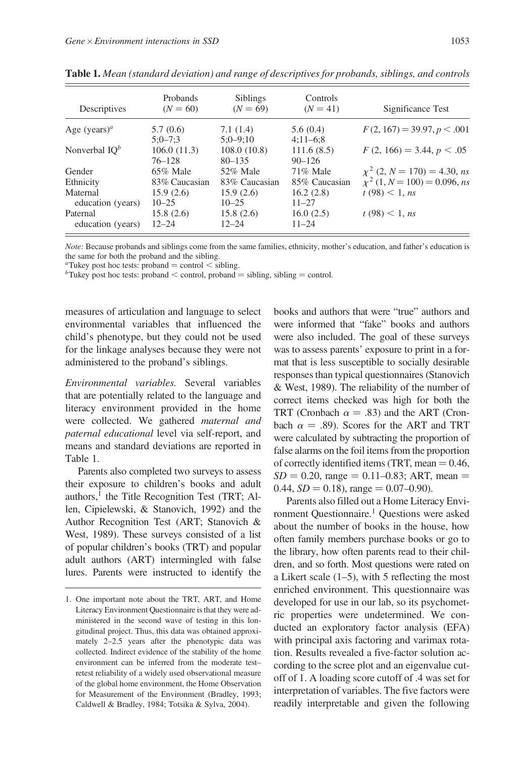| Descriptives                    | Probands<br>$(N = 60)$ | <b>Siblings</b><br>$(N = 69)$ | Controls<br>$(N = 41)$ | Significance Test                 |
|---------------------------------|------------------------|-------------------------------|------------------------|-----------------------------------|
| Age (years) <sup><i>a</i></sup> | 5.7(0.6)               | 7.1(1.4)                      | 5.6(0.4)               | $F(2, 167) = 39.97, p < .001$     |
|                                 | $5:0 - 7:3$            | $5:0-9:10$                    | $4:11-6:8$             |                                   |
| Nonverbal $IO^b$                | 106.0(11.3)            | 108.0(10.8)                   | 111.6(8.5)             | $F(2, 166) = 3.44, p < .05$       |
|                                 | 76–128                 | $80 - 135$                    | $90 - 126$             |                                   |
| Gender                          | $65\%$ Male            | 52% Male                      | 71% Male               | $\chi^2$ (2, N = 170) = 4.30, ns  |
| Ethnicity                       | 83% Caucasian          | 83% Caucasian                 | 85% Caucasian          | $\chi^2$ (1, N = 100) = 0.096, ns |
| Maternal                        | 15.9(2.6)              | 15.9(2.6)                     | 16.2(2.8)              | t(98) < 1, ns                     |
| education (years)               | $10 - 25$              | $10 - 25$                     | $11 - 27$              |                                   |
| Paternal                        | 15.8(2.6)              | 15.8(2.6)                     | 16.0(2.5)              | t(98) < 1, ns                     |
| education (years)               | $12 - 24$              | $12 - 24$                     | $11 - 24$              |                                   |

Table 1. Mean (standard deviation) and range of descriptives for probands, siblings, and controls

Note: Because probands and siblings come from the same families, ethnicity, mother's education, and father's education is the same for both the proband and the sibling.

<sup>a</sup>Tukey post hoc tests: proband = control < sibling.<br>bTukey post hoc tests: proband < control, proband = sibling, sibling = control.

measures of articulation and language to select environmental variables that influenced the child's phenotype, but they could not be used for the linkage analyses because they were not administered to the proband's siblings.

Environmental variables. Several variables that are potentially related to the language and literacy environment provided in the home were collected. We gathered maternal and paternal educational level via self-report, and means and standard deviations are reported in Table 1.

Parents also completed two surveys to assess their exposure to children's books and adult authors, $<sup>1</sup>$  the Title Recognition Test (TRT; Al-</sup> len, Cipielewski, & Stanovich, 1992) and the Author Recognition Test (ART; Stanovich & West, 1989). These surveys consisted of a list of popular children's books (TRT) and popular adult authors (ART) intermingled with false lures. Parents were instructed to identify the books and authors that were "true" authors and were informed that "fake" books and authors were also included. The goal of these surveys was to assess parents' exposure to print in a format that is less susceptible to socially desirable responses than typical questionnaires (Stanovich & West, 1989). The reliability of the number of correct items checked was high for both the TRT (Cronbach  $\alpha = .83$ ) and the ART (Cronbach  $\alpha = .89$ ). Scores for the ART and TRT were calculated by subtracting the proportion of false alarms on the foil items from the proportion of correctly identified items (TRT, mean  $= 0.46$ ,  $SD = 0.20$ , range = 0.11–0.83; ART, mean = 0.44,  $SD = 0.18$ ), range  $= 0.07 - 0.90$ .

Parents also filled out a Home Literacy Environment Questionnaire.<sup>1</sup> Questions were asked about the number of books in the house, how often family members purchase books or go to the library, how often parents read to their children, and so forth. Most questions were rated on a Likert scale  $(1–5)$ , with 5 reflecting the most enriched environment. This questionnaire was developed for use in our lab, so its psychometric properties were undetermined. We conducted an exploratory factor analysis (EFA) with principal axis factoring and varimax rotation. Results revealed a five-factor solution according to the scree plot and an eigenvalue cutoff of 1. A loading score cutoff of .4 was set for interpretation of variables. The five factors were readily interpretable and given the following

<sup>1.</sup> One important note about the TRT, ART, and Home Literacy Environment Questionnaire is that they were administered in the second wave of testing in this longitudinal project. Thus, this data was obtained approximately 2–2.5 years after the phenotypic data was collected. Indirect evidence of the stability of the home environment can be inferred from the moderate test– retest reliability of a widely used observational measure of the global home environment, the Home Observation for Measurement of the Environment (Bradley, 1993; Caldwell & Bradley, 1984; Totsika & Sylva, 2004).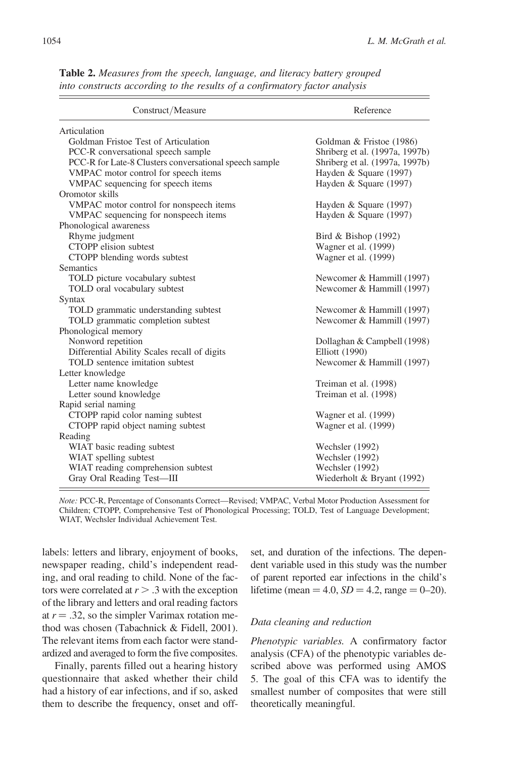| Construct/Measure                                      | Reference                      |  |
|--------------------------------------------------------|--------------------------------|--|
| Articulation                                           |                                |  |
| Goldman Fristoe Test of Articulation                   | Goldman & Fristoe (1986)       |  |
| PCC-R conversational speech sample                     | Shriberg et al. (1997a, 1997b) |  |
| PCC-R for Late-8 Clusters conversational speech sample | Shriberg et al. (1997a, 1997b) |  |
| VMPAC motor control for speech items                   | Hayden & Square (1997)         |  |
| VMPAC sequencing for speech items                      | Hayden & Square (1997)         |  |
| Oromotor skills                                        |                                |  |
| VMPAC motor control for nonspeech items                | Hayden & Square (1997)         |  |
| VMPAC sequencing for nonspeech items                   | Hayden & Square (1997)         |  |
| Phonological awareness                                 |                                |  |
| Rhyme judgment                                         | Bird & Bishop $(1992)$         |  |
| CTOPP elision subtest                                  | Wagner et al. (1999)           |  |
| CTOPP blending words subtest                           | Wagner et al. (1999)           |  |
| <b>Semantics</b>                                       |                                |  |
| TOLD picture vocabulary subtest                        | Newcomer & Hammill (1997)      |  |
| TOLD oral vocabulary subtest                           | Newcomer & Hammill (1997)      |  |
| Syntax                                                 |                                |  |
| TOLD grammatic understanding subtest                   | Newcomer & Hammill (1997)      |  |
| TOLD grammatic completion subtest                      | Newcomer & Hammill (1997)      |  |
| Phonological memory                                    |                                |  |
| Nonword repetition                                     | Dollaghan & Campbell (1998)    |  |
| Differential Ability Scales recall of digits           | Elliott (1990)                 |  |
| TOLD sentence imitation subtest                        | Newcomer & Hammill (1997)      |  |
| Letter knowledge                                       |                                |  |
| Letter name knowledge                                  | Treiman et al. (1998)          |  |
| Letter sound knowledge                                 | Treiman et al. (1998)          |  |
| Rapid serial naming                                    |                                |  |
| CTOPP rapid color naming subtest                       | Wagner et al. (1999)           |  |
| CTOPP rapid object naming subtest                      | Wagner et al. (1999)           |  |
| Reading                                                |                                |  |
| WIAT basic reading subtest                             | Wechsler (1992)                |  |
| WIAT spelling subtest                                  | Wechsler (1992)                |  |
| WIAT reading comprehension subtest                     | Wechsler (1992)                |  |
| Gray Oral Reading Test-III                             | Wiederholt & Bryant (1992)     |  |

Table 2. Measures from the speech, language, and literacy battery grouped into constructs according to the results of a confirmatory factor analysis

Note: PCC-R, Percentage of Consonants Correct—Revised; VMPAC, Verbal Motor Production Assessment for Children; CTOPP, Comprehensive Test of Phonological Processing; TOLD, Test of Language Development; WIAT, Wechsler Individual Achievement Test.

labels: letters and library, enjoyment of books, newspaper reading, child's independent reading, and oral reading to child. None of the factors were correlated at  $r > .3$  with the exception of the library and letters and oral reading factors at  $r = .32$ , so the simpler Varimax rotation method was chosen (Tabachnick & Fidell, 2001). The relevant items from each factor were standardized and averaged to form the five composites.

Finally, parents filled out a hearing history questionnaire that asked whether their child had a history of ear infections, and if so, asked them to describe the frequency, onset and offset, and duration of the infections. The dependent variable used in this study was the number of parent reported ear infections in the child's lifetime (mean = 4.0,  $SD = 4.2$ , range = 0–20).

#### Data cleaning and reduction

Phenotypic variables. A confirmatory factor analysis (CFA) of the phenotypic variables described above was performed using AMOS 5. The goal of this CFA was to identify the smallest number of composites that were still theoretically meaningful.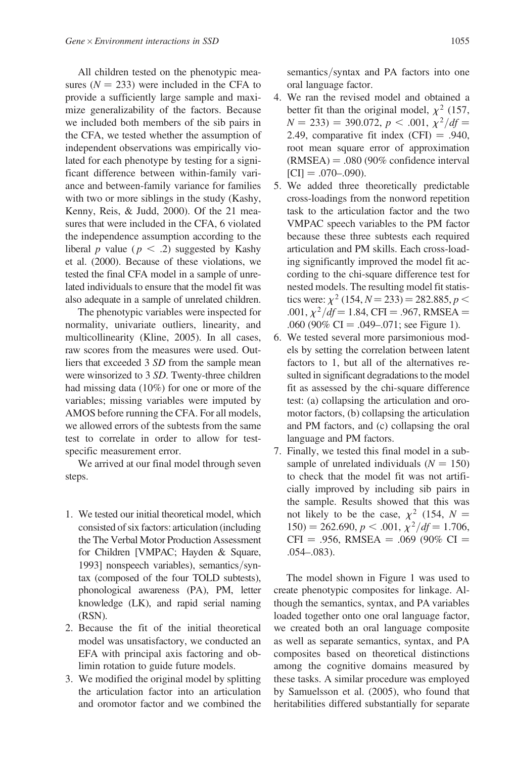All children tested on the phenotypic measures ( $N = 233$ ) were included in the CFA to provide a sufficiently large sample and maximize generalizability of the factors. Because we included both members of the sib pairs in the CFA, we tested whether the assumption of independent observations was empirically violated for each phenotype by testing for a significant difference between within-family variance and between-family variance for families with two or more siblings in the study (Kashy, Kenny, Reis, & Judd, 2000). Of the 21 measures that were included in the CFA, 6 violated the independence assumption according to the liberal p value ( $p < .2$ ) suggested by Kashy et al. (2000). Because of these violations, we tested the final CFA model in a sample of unrelated individuals to ensure that the model fit was also adequate in a sample of unrelated children.

The phenotypic variables were inspected for normality, univariate outliers, linearity, and multicollinearity (Kline, 2005). In all cases, raw scores from the measures were used. Outliers that exceeded 3 SD from the sample mean were winsorized to 3 SD. Twenty-three children had missing data (10%) for one or more of the variables; missing variables were imputed by AMOS before running the CFA. For all models, we allowed errors of the subtests from the same test to correlate in order to allow for testspecific measurement error.

We arrived at our final model through seven steps.

- 1. We tested our initial theoretical model, which consisted of six factors: articulation (including the The Verbal Motor Production Assessment for Children [VMPAC; Hayden & Square, 1993] nonspeech variables), semantics/syntax (composed of the four TOLD subtests), phonological awareness (PA), PM, letter knowledge (LK), and rapid serial naming (RSN).
- 2. Because the fit of the initial theoretical model was unsatisfactory, we conducted an EFA with principal axis factoring and oblimin rotation to guide future models.
- 3. We modified the original model by splitting the articulation factor into an articulation and oromotor factor and we combined the

semantics/syntax and PA factors into one oral language factor.

- 4. We ran the revised model and obtained a better fit than the original model,  $\chi^2$  (157,  $N = 233$ ) = 390.072, p < .001,  $\chi^2/df$  = 2.49, comparative fit index  $(CFI) = .940$ , root mean square error of approximation  $(RMSEA) = .080 (90\%$  confidence interval  $|CI| = .070 - .090$ .
- 5. We added three theoretically predictable cross-loadings from the nonword repetition task to the articulation factor and the two VMPAC speech variables to the PM factor because these three subtests each required articulation and PM skills. Each cross-loading significantly improved the model fit according to the chi-square difference test for nested models. The resulting model fit statistics were:  $\chi^2$  (154, N = 233) = 282.885, p < .001,  $\chi^2/df = 1.84$ , CFI = .967, RMSEA = .060 (90% CI = .049–.071; see Figure 1).
- 6. We tested several more parsimonious models by setting the correlation between latent factors to 1, but all of the alternatives resulted in significant degradations to the model fit as assessed by the chi-square difference test: (a) collapsing the articulation and oromotor factors, (b) collapsing the articulation and PM factors, and (c) collapsing the oral language and PM factors.
- 7. Finally, we tested this final model in a subsample of unrelated individuals  $(N = 150)$ to check that the model fit was not artificially improved by including sib pairs in the sample. Results showed that this was not likely to be the case,  $\chi^2$  (154, N =  $150$ ) = 262.690, p < .001,  $\chi^2/df = 1.706$ ,  $CFI = .956$ , RMSEA = .069 (90% CI = .054–.083).

The model shown in Figure 1 was used to create phenotypic composites for linkage. Although the semantics, syntax, and PA variables loaded together onto one oral language factor, we created both an oral language composite as well as separate semantics, syntax, and PA composites based on theoretical distinctions among the cognitive domains measured by these tasks. A similar procedure was employed by Samuelsson et al. (2005), who found that heritabilities differed substantially for separate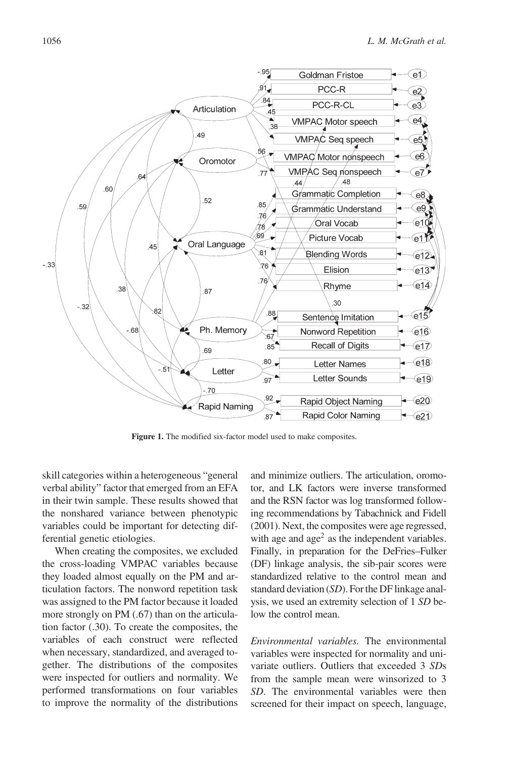

Figure 1. The modified six-factor model used to make composites.

skill categories within a heterogeneous "general verbal ability" factor that emerged from an EFA in their twin sample. These results showed that the nonshared variance between phenotypic variables could be important for detecting differential genetic etiologies.

When creating the composites, we excluded the cross-loading VMPAC variables because they loaded almost equally on the PM and articulation factors. The nonword repetition task was assigned to the PM factor because it loaded more strongly on PM (.67) than on the articulation factor (.30). To create the composites, the variables of each construct were reflected when necessary, standardized, and averaged together. The distributions of the composites were inspected for outliers and normality. We performed transformations on four variables to improve the normality of the distributions

and minimize outliers. The articulation, oromotor, and LK factors were inverse transformed and the RSN factor was log transformed following recommendations by Tabachnick and Fidell (2001). Next, the composites were age regressed, with age and  $\text{age}^2$  as the independent variables. Finally, in preparation for the DeFries–Fulker (DF) linkage analysis, the sib-pair scores were standardized relative to the control mean and standard deviation (SD). For the DF linkage analysis, we used an extremity selection of 1 SD below the control mean.

Environmental variables. The environmental variables were inspected for normality and univariate outliers. Outliers that exceeded 3 SDs from the sample mean were winsorized to 3 SD. The environmental variables were then screened for their impact on speech, language,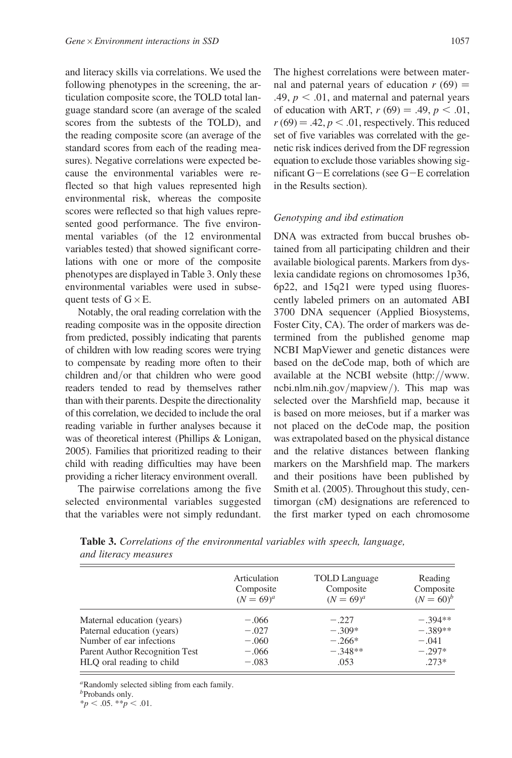and literacy skills via correlations. We used the following phenotypes in the screening, the articulation composite score, the TOLD total language standard score (an average of the scaled scores from the subtests of the TOLD), and the reading composite score (an average of the standard scores from each of the reading measures). Negative correlations were expected because the environmental variables were reflected so that high values represented high environmental risk, whereas the composite scores were reflected so that high values represented good performance. The five environmental variables (of the 12 environmental variables tested) that showed significant correlations with one or more of the composite phenotypes are displayed in Table 3. Only these environmental variables were used in subsequent tests of  $G \times E$ .

Notably, the oral reading correlation with the reading composite was in the opposite direction from predicted, possibly indicating that parents of children with low reading scores were trying to compensate by reading more often to their children and/or that children who were good readers tended to read by themselves rather than with their parents. Despite the directionality of this correlation, we decided to include the oral reading variable in further analyses because it was of theoretical interest (Phillips & Lonigan, 2005). Families that prioritized reading to their child with reading difficulties may have been providing a richer literacy environment overall.

The pairwise correlations among the five selected environmental variables suggested that the variables were not simply redundant. The highest correlations were between maternal and paternal years of education  $r(69) =$ .49,  $p < .01$ , and maternal and paternal years of education with ART,  $r(69) = .49, p < .01$ ,  $r(69) = .42$ ,  $p < .01$ , respectively. This reduced set of five variables was correlated with the genetic risk indices derived from the DF regression equation to exclude those variables showing significant  $G-E$  correlations (see  $G-E$  correlation in the Results section).

#### Genotyping and ibd estimation

DNA was extracted from buccal brushes obtained from all participating children and their available biological parents. Markers from dyslexia candidate regions on chromosomes 1p36, 6p22, and 15q21 were typed using fluorescently labeled primers on an automated ABI 3700 DNA sequencer (Applied Biosystems, Foster City, CA). The order of markers was determined from the published genome map NCBI MapViewer and genetic distances were based on the deCode map, both of which are available at the NCBI website (http://www. ncbi.nlm.nih.gov/mapview/). This map was selected over the Marshfield map, because it is based on more meioses, but if a marker was not placed on the deCode map, the position was extrapolated based on the physical distance and the relative distances between flanking markers on the Marshfield map. The markers and their positions have been published by Smith et al. (2005). Throughout this study, centimorgan (cM) designations are referenced to the first marker typed on each chromosome

| Table 3. Correlations of the environmental variables with speech, language, |  |
|-----------------------------------------------------------------------------|--|
| and literacy measures                                                       |  |

|                                                             | Articulation<br>Composite<br>$(N = 69)^{a}$ | TOLD Language<br>Composite<br>$(N = 69)^{a}$ | Reading<br>Composite<br>$(N = 60)^b$ |
|-------------------------------------------------------------|---------------------------------------------|----------------------------------------------|--------------------------------------|
| Maternal education (years)                                  | $-.066$                                     | $-.227$                                      | $-.394**$                            |
| Paternal education (years)                                  | $-.027$                                     | $-.309*$                                     | $-.389**$                            |
| Number of ear infections                                    | $-.060$                                     | $-.266*$                                     | $-.041$                              |
| Parent Author Recognition Test<br>HLQ oral reading to child | $-.066$<br>$-.083$                          | $-.348**$<br>.053                            | $-.297*$<br>$.273*$                  |

<sup>a</sup>Randomly selected sibling from each family.

<sup>b</sup>Probands only.

 $*_{p} < .05.$   $*_{p} < .01.$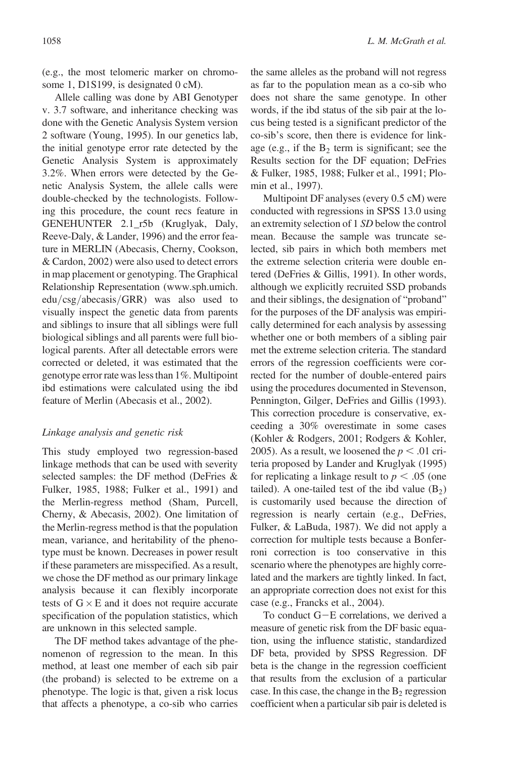(e.g., the most telomeric marker on chromosome 1, D1S199, is designated 0 cM).

Allele calling was done by ABI Genotyper v. 3.7 software, and inheritance checking was done with the Genetic Analysis System version 2 software (Young, 1995). In our genetics lab, the initial genotype error rate detected by the Genetic Analysis System is approximately 3.2%. When errors were detected by the Genetic Analysis System, the allele calls were double-checked by the technologists. Following this procedure, the count recs feature in GENEHUNTER 2.1\_r5b (Kruglyak, Daly, Reeve-Daly, & Lander, 1996) and the error feature in MERLIN (Abecasis, Cherny, Cookson, & Cardon, 2002) were also used to detect errors in map placement or genotyping. The Graphical Relationship Representation (www.sph.umich. edu/csg/abecasis/GRR) was also used to visually inspect the genetic data from parents and siblings to insure that all siblings were full biological siblings and all parents were full biological parents. After all detectable errors were corrected or deleted, it was estimated that the genotype error rate was less than 1%. Multipoint ibd estimations were calculated using the ibd feature of Merlin (Abecasis et al., 2002).

#### Linkage analysis and genetic risk

This study employed two regression-based linkage methods that can be used with severity selected samples: the DF method (DeFries & Fulker, 1985, 1988; Fulker et al., 1991) and the Merlin-regress method (Sham, Purcell, Cherny, & Abecasis, 2002). One limitation of the Merlin-regress method is that the population mean, variance, and heritability of the phenotype must be known. Decreases in power result if these parameters are misspecified. As a result, we chose the DF method as our primary linkage analysis because it can flexibly incorporate tests of  $G \times E$  and it does not require accurate specification of the population statistics, which are unknown in this selected sample.

The DF method takes advantage of the phenomenon of regression to the mean. In this method, at least one member of each sib pair (the proband) is selected to be extreme on a phenotype. The logic is that, given a risk locus that affects a phenotype, a co-sib who carries the same alleles as the proband will not regress as far to the population mean as a co-sib who does not share the same genotype. In other words, if the ibd status of the sib pair at the locus being tested is a significant predictor of the co-sib's score, then there is evidence for linkage (e.g., if the  $B_2$  term is significant; see the Results section for the DF equation; DeFries & Fulker, 1985, 1988; Fulker et al., 1991; Plomin et al., 1997).

Multipoint DF analyses (every 0.5 cM) were conducted with regressions in SPSS 13.0 using an extremity selection of 1 SD below the control mean. Because the sample was truncate selected, sib pairs in which both members met the extreme selection criteria were double entered (DeFries & Gillis, 1991). In other words, although we explicitly recruited SSD probands and their siblings, the designation of "proband" for the purposes of the DF analysis was empirically determined for each analysis by assessing whether one or both members of a sibling pair met the extreme selection criteria. The standard errors of the regression coefficients were corrected for the number of double-entered pairs using the procedures documented in Stevenson, Pennington, Gilger, DeFries and Gillis (1993). This correction procedure is conservative, exceeding a 30% overestimate in some cases (Kohler & Rodgers, 2001; Rodgers & Kohler, 2005). As a result, we loosened the  $p < .01$  criteria proposed by Lander and Kruglyak (1995) for replicating a linkage result to  $p < .05$  (one tailed). A one-tailed test of the ibd value  $(B_2)$ is customarily used because the direction of regression is nearly certain (e.g., DeFries, Fulker, & LaBuda, 1987). We did not apply a correction for multiple tests because a Bonferroni correction is too conservative in this scenario where the phenotypes are highly correlated and the markers are tightly linked. In fact, an appropriate correction does not exist for this case (e.g., Francks et al., 2004).

To conduct  $G-E$  correlations, we derived a measure of genetic risk from the DF basic equation, using the influence statistic, standardized DF beta, provided by SPSS Regression. DF beta is the change in the regression coefficient that results from the exclusion of a particular case. In this case, the change in the  $B_2$  regression coefficient when a particular sib pair is deleted is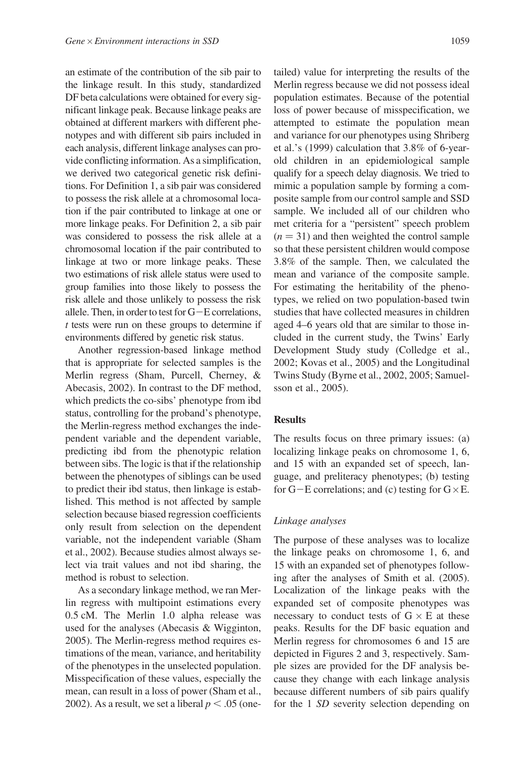an estimate of the contribution of the sib pair to the linkage result. In this study, standardized DF beta calculations were obtained for every significant linkage peak. Because linkage peaks are obtained at different markers with different phenotypes and with different sib pairs included in each analysis, different linkage analyses can provide conflicting information. As a simplification, we derived two categorical genetic risk definitions. For Definition 1, a sib pair was considered to possess the risk allele at a chromosomal location if the pair contributed to linkage at one or more linkage peaks. For Definition 2, a sib pair was considered to possess the risk allele at a chromosomal location if the pair contributed to linkage at two or more linkage peaks. These two estimations of risk allele status were used to group families into those likely to possess the risk allele and those unlikely to possess the risk allele. Then, in order to test for  $G-E$  correlations, t tests were run on these groups to determine if environments differed by genetic risk status.

Another regression-based linkage method that is appropriate for selected samples is the Merlin regress (Sham, Purcell, Cherney, & Abecasis, 2002). In contrast to the DF method, which predicts the co-sibs' phenotype from ibd status, controlling for the proband's phenotype, the Merlin-regress method exchanges the independent variable and the dependent variable, predicting ibd from the phenotypic relation between sibs. The logic is that if the relationship between the phenotypes of siblings can be used to predict their ibd status, then linkage is established. This method is not affected by sample selection because biased regression coefficients only result from selection on the dependent variable, not the independent variable (Sham et al., 2002). Because studies almost always select via trait values and not ibd sharing, the method is robust to selection.

As a secondary linkage method, we ran Merlin regress with multipoint estimations every 0.5 cM. The Merlin 1.0 alpha release was used for the analyses (Abecasis & Wigginton, 2005). The Merlin-regress method requires estimations of the mean, variance, and heritability of the phenotypes in the unselected population. Misspecification of these values, especially the mean, can result in a loss of power (Sham et al., 2002). As a result, we set a liberal  $p < .05$  (onetailed) value for interpreting the results of the Merlin regress because we did not possess ideal population estimates. Because of the potential loss of power because of misspecification, we attempted to estimate the population mean and variance for our phenotypes using Shriberg et al.'s (1999) calculation that 3.8% of 6-yearold children in an epidemiological sample qualify for a speech delay diagnosis. We tried to mimic a population sample by forming a composite sample from our control sample and SSD sample. We included all of our children who met criteria for a "persistent" speech problem  $(n = 31)$  and then weighted the control sample so that these persistent children would compose 3.8% of the sample. Then, we calculated the mean and variance of the composite sample. For estimating the heritability of the phenotypes, we relied on two population-based twin studies that have collected measures in children aged 4–6 years old that are similar to those included in the current study, the Twins' Early Development Study study (Colledge et al., 2002; Kovas et al., 2005) and the Longitudinal Twins Study (Byrne et al., 2002, 2005; Samuelsson et al., 2005).

## **Results**

The results focus on three primary issues: (a) localizing linkage peaks on chromosome 1, 6, and 15 with an expanded set of speech, language, and preliteracy phenotypes; (b) testing for  $G-E$  correlations; and (c) testing for  $G \times E$ .

#### Linkage analyses

The purpose of these analyses was to localize the linkage peaks on chromosome 1, 6, and 15 with an expanded set of phenotypes following after the analyses of Smith et al. (2005). Localization of the linkage peaks with the expanded set of composite phenotypes was necessary to conduct tests of  $G \times E$  at these peaks. Results for the DF basic equation and Merlin regress for chromosomes 6 and 15 are depicted in Figures 2 and 3, respectively. Sample sizes are provided for the DF analysis because they change with each linkage analysis because different numbers of sib pairs qualify for the 1 SD severity selection depending on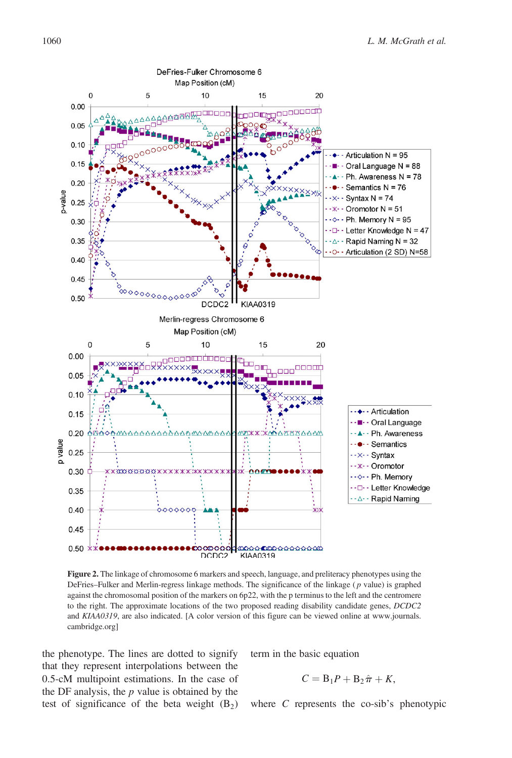

Figure 2. The linkage of chromosome 6 markers and speech, language, and preliteracy phenotypes using the DeFries–Fulker and Merlin-regress linkage methods. The significance of the linkage ( $p$  value) is graphed against the chromosomal position of the markers on 6p22, with the p terminus to the left and the centromere to the right. The approximate locations of the two proposed reading disability candidate genes, DCDC2 and KIAA0319, are also indicated. [A color version of this figure can be viewed online at www.journals. cambridge.org]

the phenotype. The lines are dotted to signify that they represent interpolations between the 0.5-cM multipoint estimations. In the case of the DF analysis, the  $p$  value is obtained by the test of significance of the beta weight  $(B_2)$  term in the basic equation

$$
C = B_1 P + B_2 \hat{\pi} + K,
$$

where C represents the co-sib's phenotypic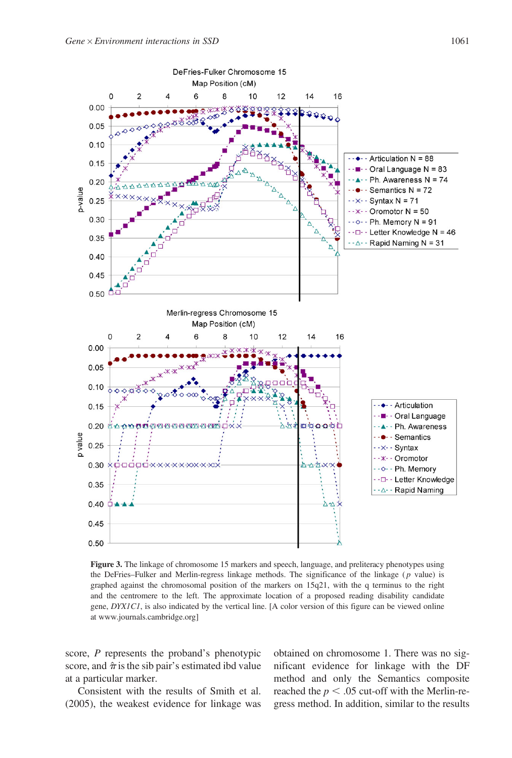

Figure 3. The linkage of chromosome 15 markers and speech, language, and preliteracy phenotypes using the DeFries–Fulker and Merlin-regress linkage methods. The significance of the linkage ( $p$  value) is graphed against the chromosomal position of the markers on 15q21, with the q terminus to the right and the centromere to the left. The approximate location of a proposed reading disability candidate gene, DYX1C1, is also indicated by the vertical line. [A color version of this figure can be viewed online at www.journals.cambridge.org]

score, P represents the proband's phenotypic score, and  $\hat{\pi}$  is the sib pair's estimated ibd value at a particular marker.

Consistent with the results of Smith et al. (2005), the weakest evidence for linkage was obtained on chromosome 1. There was no significant evidence for linkage with the DF method and only the Semantics composite reached the  $p < .05$  cut-off with the Merlin-regress method. In addition, similar to the results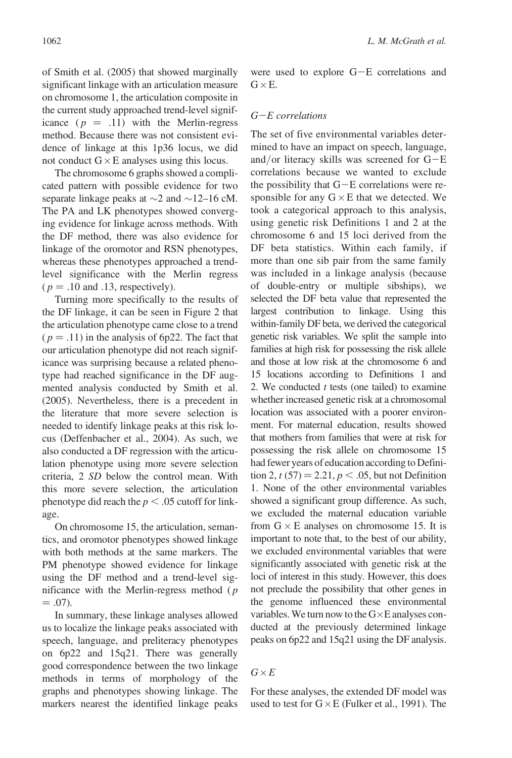of Smith et al. (2005) that showed marginally significant linkage with an articulation measure on chromosome 1, the articulation composite in the current study approached trend-level significance ( $p = .11$ ) with the Merlin-regress method. Because there was not consistent evidence of linkage at this 1p36 locus, we did not conduct  $G \times E$  analyses using this locus.

The chromosome 6 graphs showed a complicated pattern with possible evidence for two separate linkage peaks at  $\sim$ 2 and  $\sim$ 12–16 cM. The PA and LK phenotypes showed converging evidence for linkage across methods. With the DF method, there was also evidence for linkage of the oromotor and RSN phenotypes, whereas these phenotypes approached a trendlevel significance with the Merlin regress  $(p = .10$  and .13, respectively).

Turning more specifically to the results of the DF linkage, it can be seen in Figure 2 that the articulation phenotype came close to a trend  $(p = .11)$  in the analysis of 6p22. The fact that our articulation phenotype did not reach significance was surprising because a related phenotype had reached significance in the DF augmented analysis conducted by Smith et al. (2005). Nevertheless, there is a precedent in the literature that more severe selection is needed to identify linkage peaks at this risk locus (Deffenbacher et al., 2004). As such, we also conducted a DF regression with the articulation phenotype using more severe selection criteria, 2 SD below the control mean. With this more severe selection, the articulation phenotype did reach the  $p < .05$  cutoff for linkage.

On chromosome 15, the articulation, semantics, and oromotor phenotypes showed linkage with both methods at the same markers. The PM phenotype showed evidence for linkage using the DF method and a trend-level significance with the Merlin-regress method  $(p)$  $= .07$ ).

In summary, these linkage analyses allowed us to localize the linkage peaks associated with speech, language, and preliteracy phenotypes on 6p22 and 15q21. There was generally good correspondence between the two linkage methods in terms of morphology of the graphs and phenotypes showing linkage. The markers nearest the identified linkage peaks were used to explore  $G-E$  correlations and  $G \times E$ .

## $G-E$  correlations

The set of five environmental variables determined to have an impact on speech, language, and/or literacy skills was screened for  $G-E$ correlations because we wanted to exclude the possibility that  $G-E$  correlations were responsible for any  $G \times E$  that we detected. We took a categorical approach to this analysis, using genetic risk Definitions 1 and 2 at the chromosome 6 and 15 loci derived from the DF beta statistics. Within each family, if more than one sib pair from the same family was included in a linkage analysis (because of double-entry or multiple sibships), we selected the DF beta value that represented the largest contribution to linkage. Using this within-family DF beta, we derived the categorical genetic risk variables. We split the sample into families at high risk for possessing the risk allele and those at low risk at the chromosome 6 and 15 locations according to Definitions 1 and 2. We conducted  $t$  tests (one tailed) to examine whether increased genetic risk at a chromosomal location was associated with a poorer environment. For maternal education, results showed that mothers from families that were at risk for possessing the risk allele on chromosome 15 had fewer years of education according to Definition 2,  $t(57) = 2.21, p < .05$ , but not Definition 1. None of the other environmental variables showed a significant group difference. As such, we excluded the maternal education variable from  $G \times E$  analyses on chromosome 15. It is important to note that, to the best of our ability, we excluded environmental variables that were significantly associated with genetic risk at the loci of interest in this study. However, this does not preclude the possibility that other genes in the genome influenced these environmental variables. We turn now to the  $G \times E$  analyses conducted at the previously determined linkage peaks on 6p22 and 15q21 using the DF analysis.

## $G \times E$

For these analyses, the extended DF model was used to test for  $G \times E$  (Fulker et al., 1991). The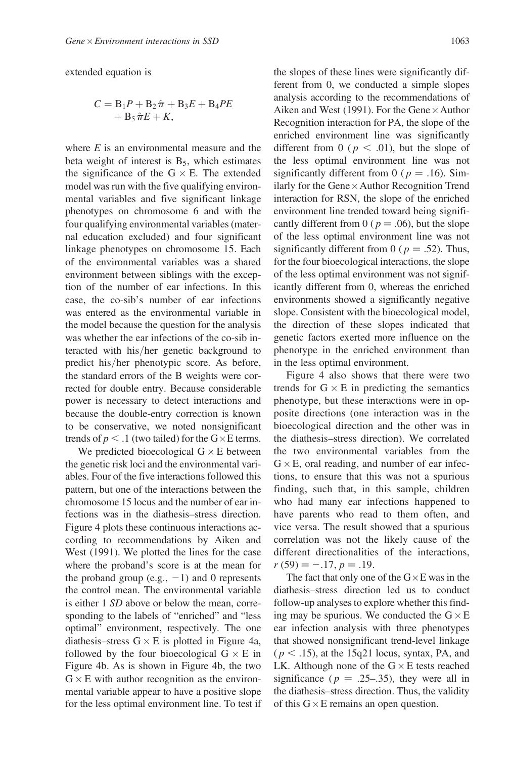extended equation is

$$
C = B_1P + B_2\hat{\pi} + B_3E + B_4PE
$$
  
+ B\_5\hat{\pi}E + K,

where  $E$  is an environmental measure and the beta weight of interest is  $B_5$ , which estimates the significance of the  $G \times E$ . The extended model was run with the five qualifying environmental variables and five significant linkage phenotypes on chromosome 6 and with the four qualifying environmental variables (maternal education excluded) and four significant linkage phenotypes on chromosome 15. Each of the environmental variables was a shared environment between siblings with the exception of the number of ear infections. In this case, the co-sib's number of ear infections was entered as the environmental variable in the model because the question for the analysis was whether the ear infections of the co-sib interacted with his/her genetic background to predict his/her phenotypic score. As before, the standard errors of the B weights were corrected for double entry. Because considerable power is necessary to detect interactions and because the double-entry correction is known to be conservative, we noted nonsignificant trends of  $p < 0.1$  (two tailed) for the G $\times$ E terms.

We predicted bioecological  $G \times E$  between the genetic risk loci and the environmental variables. Four of the five interactions followed this pattern, but one of the interactions between the chromosome 15 locus and the number of ear infections was in the diathesis–stress direction. Figure 4 plots these continuous interactions according to recommendations by Aiken and West (1991). We plotted the lines for the case where the proband's score is at the mean for the proband group (e.g.,  $-1$ ) and 0 represents the control mean. The environmental variable is either 1 SD above or below the mean, corresponding to the labels of "enriched" and "less optimal" environment, respectively. The one diathesis–stress  $G \times E$  is plotted in Figure 4a, followed by the four bioecological  $G \times E$  in Figure 4b. As is shown in Figure 4b, the two  $G \times E$  with author recognition as the environmental variable appear to have a positive slope for the less optimal environment line. To test if the slopes of these lines were significantly different from 0, we conducted a simple slopes analysis according to the recommendations of Aiken and West (1991). For the Gene  $\times$  Author Recognition interaction for PA, the slope of the enriched environment line was significantly different from 0 ( $p < .01$ ), but the slope of the less optimal environment line was not significantly different from 0 ( $p = .16$ ). Similarly for the Gene × Author Recognition Trend interaction for RSN, the slope of the enriched environment line trended toward being significantly different from 0 ( $p = .06$ ), but the slope of the less optimal environment line was not significantly different from 0 ( $p = .52$ ). Thus, for the four bioecological interactions, the slope of the less optimal environment was not significantly different from 0, whereas the enriched environments showed a significantly negative slope. Consistent with the bioecological model, the direction of these slopes indicated that genetic factors exerted more influence on the phenotype in the enriched environment than in the less optimal environment.

Figure 4 also shows that there were two trends for  $G \times E$  in predicting the semantics phenotype, but these interactions were in opposite directions (one interaction was in the bioecological direction and the other was in the diathesis–stress direction). We correlated the two environmental variables from the  $G \times E$ , oral reading, and number of ear infections, to ensure that this was not a spurious finding, such that, in this sample, children who had many ear infections happened to have parents who read to them often, and vice versa. The result showed that a spurious correlation was not the likely cause of the different directionalities of the interactions,  $r(59) = -.17, p = .19.$ 

The fact that only one of the  $G \times E$  was in the diathesis–stress direction led us to conduct follow-up analyses to explore whether this finding may be spurious. We conducted the  $G \times E$ ear infection analysis with three phenotypes that showed nonsignificant trend-level linkage  $(p < .15)$ , at the 15q21 locus, syntax, PA, and LK. Although none of the  $G \times E$  tests reached significance ( $p = .25-.35$ ), they were all in the diathesis–stress direction. Thus, the validity of this  $G \times E$  remains an open question.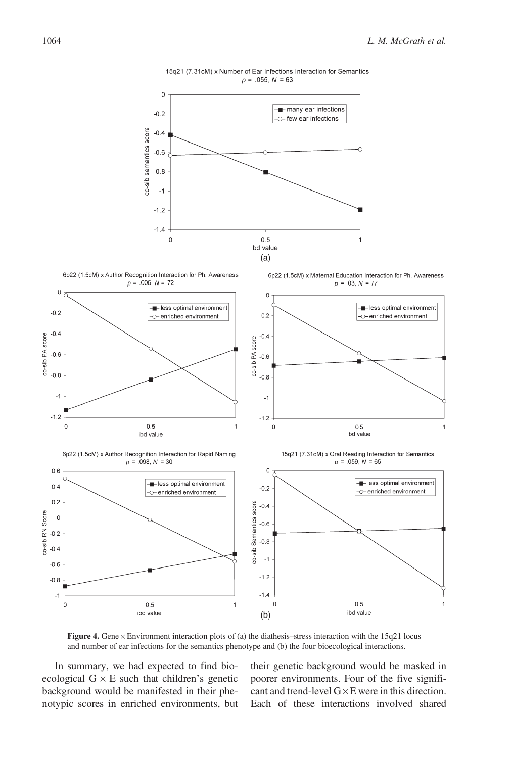

15q21 (7.31cM) x Number of Ear Infections Interaction for Semantics  $p = .055, N = 63$ 

Figure 4. Gene  $\times$  Environment interaction plots of (a) the diathesis–stress interaction with the 15q21 locus and number of ear infections for the semantics phenotype and (b) the four bioecological interactions.

In summary, we had expected to find bioecological  $G \times E$  such that children's genetic background would be manifested in their phenotypic scores in enriched environments, but their genetic background would be masked in poorer environments. Four of the five significant and trend-level  $G \times E$  were in this direction. Each of these interactions involved shared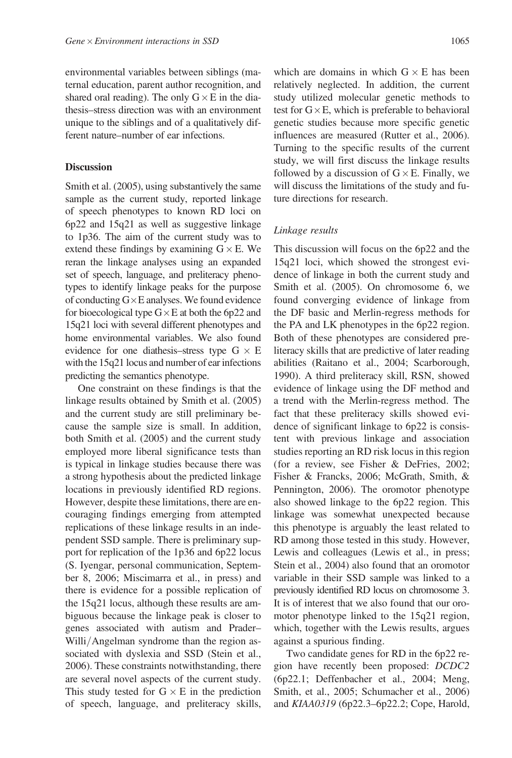environmental variables between siblings (maternal education, parent author recognition, and shared oral reading). The only  $G \times E$  in the diathesis–stress direction was with an environment unique to the siblings and of a qualitatively different nature–number of ear infections.

## **Discussion**

Smith et al. (2005), using substantively the same sample as the current study, reported linkage of speech phenotypes to known RD loci on 6p22 and 15q21 as well as suggestive linkage to 1p36. The aim of the current study was to extend these findings by examining  $G \times E$ . We reran the linkage analyses using an expanded set of speech, language, and preliteracy phenotypes to identify linkage peaks for the purpose of conducting  $G \times E$  analyses. We found evidence for bioecological type  $G \times E$  at both the 6p22 and 15q21 loci with several different phenotypes and home environmental variables. We also found evidence for one diathesis–stress type  $G \times E$ with the 15q21 locus and number of ear infections predicting the semantics phenotype.

One constraint on these findings is that the linkage results obtained by Smith et al. (2005) and the current study are still preliminary because the sample size is small. In addition, both Smith et al. (2005) and the current study employed more liberal significance tests than is typical in linkage studies because there was a strong hypothesis about the predicted linkage locations in previously identified RD regions. However, despite these limitations, there are encouraging findings emerging from attempted replications of these linkage results in an independent SSD sample. There is preliminary support for replication of the 1p36 and 6p22 locus (S. Iyengar, personal communication, September 8, 2006; Miscimarra et al., in press) and there is evidence for a possible replication of the 15q21 locus, although these results are ambiguous because the linkage peak is closer to genes associated with autism and Prader– Willi/Angelman syndrome than the region associated with dyslexia and SSD (Stein et al., 2006). These constraints notwithstanding, there are several novel aspects of the current study. This study tested for  $G \times E$  in the prediction of speech, language, and preliteracy skills,

which are domains in which  $G \times E$  has been relatively neglected. In addition, the current study utilized molecular genetic methods to test for  $G \times E$ , which is preferable to behavioral genetic studies because more specific genetic influences are measured (Rutter et al., 2006). Turning to the specific results of the current study, we will first discuss the linkage results followed by a discussion of  $G \times E$ . Finally, we will discuss the limitations of the study and future directions for research.

#### Linkage results

This discussion will focus on the 6p22 and the 15q21 loci, which showed the strongest evidence of linkage in both the current study and Smith et al. (2005). On chromosome 6, we found converging evidence of linkage from the DF basic and Merlin-regress methods for the PA and LK phenotypes in the 6p22 region. Both of these phenotypes are considered preliteracy skills that are predictive of later reading abilities (Raitano et al., 2004; Scarborough, 1990). A third preliteracy skill, RSN, showed evidence of linkage using the DF method and a trend with the Merlin-regress method. The fact that these preliteracy skills showed evidence of significant linkage to 6p22 is consistent with previous linkage and association studies reporting an RD risk locus in this region (for a review, see Fisher & DeFries, 2002; Fisher & Francks, 2006; McGrath, Smith, & Pennington, 2006). The oromotor phenotype also showed linkage to the 6p22 region. This linkage was somewhat unexpected because this phenotype is arguably the least related to RD among those tested in this study. However, Lewis and colleagues (Lewis et al., in press; Stein et al., 2004) also found that an oromotor variable in their SSD sample was linked to a previously identified RD locus on chromosome 3. It is of interest that we also found that our oromotor phenotype linked to the 15q21 region, which, together with the Lewis results, argues against a spurious finding.

Two candidate genes for RD in the 6p22 region have recently been proposed: DCDC2 (6p22.1; Deffenbacher et al., 2004; Meng, Smith, et al., 2005; Schumacher et al., 2006) and KIAA0319 (6p22.3–6p22.2; Cope, Harold,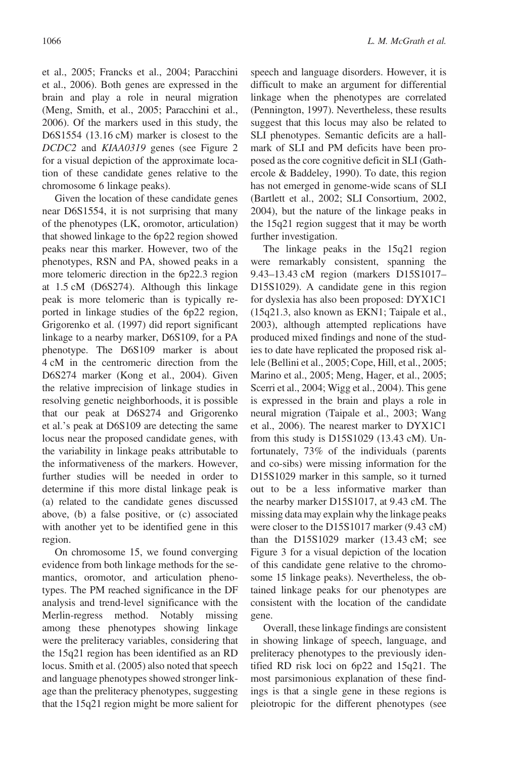et al., 2005; Francks et al., 2004; Paracchini et al., 2006). Both genes are expressed in the brain and play a role in neural migration (Meng, Smith, et al., 2005; Paracchini et al., 2006). Of the markers used in this study, the D6S1554 (13.16 cM) marker is closest to the DCDC2 and KIAA0319 genes (see Figure 2 for a visual depiction of the approximate location of these candidate genes relative to the chromosome 6 linkage peaks).

Given the location of these candidate genes near D6S1554, it is not surprising that many of the phenotypes (LK, oromotor, articulation) that showed linkage to the 6p22 region showed peaks near this marker. However, two of the phenotypes, RSN and PA, showed peaks in a more telomeric direction in the 6p22.3 region at 1.5 cM (D6S274). Although this linkage peak is more telomeric than is typically reported in linkage studies of the 6p22 region, Grigorenko et al. (1997) did report significant linkage to a nearby marker, D6S109, for a PA phenotype. The D6S109 marker is about 4 cM in the centromeric direction from the D6S274 marker (Kong et al., 2004). Given the relative imprecision of linkage studies in resolving genetic neighborhoods, it is possible that our peak at D6S274 and Grigorenko et al.'s peak at D6S109 are detecting the same locus near the proposed candidate genes, with the variability in linkage peaks attributable to the informativeness of the markers. However, further studies will be needed in order to determine if this more distal linkage peak is (a) related to the candidate genes discussed above, (b) a false positive, or (c) associated with another yet to be identified gene in this region.

On chromosome 15, we found converging evidence from both linkage methods for the semantics, oromotor, and articulation phenotypes. The PM reached significance in the DF analysis and trend-level significance with the Merlin-regress method. Notably missing among these phenotypes showing linkage were the preliteracy variables, considering that the 15q21 region has been identified as an RD locus. Smith et al. (2005) also noted that speech and language phenotypes showed stronger linkage than the preliteracy phenotypes, suggesting that the 15q21 region might be more salient for speech and language disorders. However, it is difficult to make an argument for differential linkage when the phenotypes are correlated (Pennington, 1997). Nevertheless, these results suggest that this locus may also be related to SLI phenotypes. Semantic deficits are a hallmark of SLI and PM deficits have been proposed as the core cognitive deficit in SLI (Gathercole & Baddeley, 1990). To date, this region has not emerged in genome-wide scans of SLI (Bartlett et al., 2002; SLI Consortium, 2002, 2004), but the nature of the linkage peaks in the 15q21 region suggest that it may be worth further investigation.

The linkage peaks in the 15q21 region were remarkably consistent, spanning the 9.43–13.43 cM region (markers D15S1017– D15S1029). A candidate gene in this region for dyslexia has also been proposed: DYX1C1 (15q21.3, also known as EKN1; Taipale et al., 2003), although attempted replications have produced mixed findings and none of the studies to date have replicated the proposed risk allele (Bellini et al., 2005; Cope, Hill, et al., 2005; Marino et al., 2005; Meng, Hager, et al., 2005; Scerri et al., 2004; Wigg et al., 2004). This gene is expressed in the brain and plays a role in neural migration (Taipale et al., 2003; Wang et al., 2006). The nearest marker to DYX1C1 from this study is D15S1029 (13.43 cM). Unfortunately, 73% of the individuals (parents and co-sibs) were missing information for the D15S1029 marker in this sample, so it turned out to be a less informative marker than the nearby marker D15S1017, at 9.43 cM. The missing data may explain why the linkage peaks were closer to the D15S1017 marker (9.43 cM) than the D15S1029 marker (13.43 cM; see Figure 3 for a visual depiction of the location of this candidate gene relative to the chromosome 15 linkage peaks). Nevertheless, the obtained linkage peaks for our phenotypes are consistent with the location of the candidate gene.

Overall, these linkage findings are consistent in showing linkage of speech, language, and preliteracy phenotypes to the previously identified RD risk loci on 6p22 and 15q21. The most parsimonious explanation of these findings is that a single gene in these regions is pleiotropic for the different phenotypes (see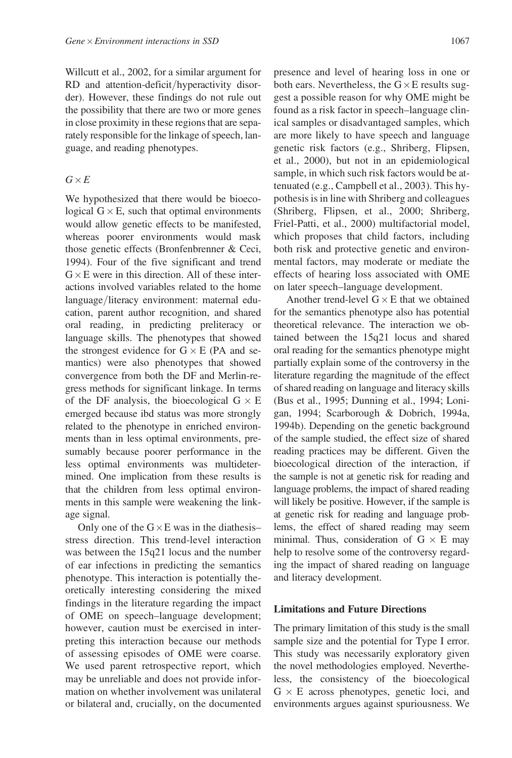Willcutt et al., 2002, for a similar argument for RD and attention-deficit/hyperactivity disorder). However, these findings do not rule out the possibility that there are two or more genes in close proximity in these regions that are separately responsible for the linkage of speech, language, and reading phenotypes.

## $G \times E$

We hypothesized that there would be bioecological  $G \times E$ , such that optimal environments would allow genetic effects to be manifested, whereas poorer environments would mask those genetic effects (Bronfenbrenner & Ceci, 1994). Four of the five significant and trend  $G \times E$  were in this direction. All of these interactions involved variables related to the home language/literacy environment: maternal education, parent author recognition, and shared oral reading, in predicting preliteracy or language skills. The phenotypes that showed the strongest evidence for  $G \times E$  (PA and semantics) were also phenotypes that showed convergence from both the DF and Merlin-regress methods for significant linkage. In terms of the DF analysis, the bioecological  $G \times E$ emerged because ibd status was more strongly related to the phenotype in enriched environments than in less optimal environments, presumably because poorer performance in the less optimal environments was multidetermined. One implication from these results is that the children from less optimal environments in this sample were weakening the linkage signal.

Only one of the  $G \times E$  was in the diathesisstress direction. This trend-level interaction was between the 15q21 locus and the number of ear infections in predicting the semantics phenotype. This interaction is potentially theoretically interesting considering the mixed findings in the literature regarding the impact of OME on speech–language development; however, caution must be exercised in interpreting this interaction because our methods of assessing episodes of OME were coarse. We used parent retrospective report, which may be unreliable and does not provide information on whether involvement was unilateral or bilateral and, crucially, on the documented presence and level of hearing loss in one or both ears. Nevertheless, the  $G \times E$  results suggest a possible reason for why OME might be found as a risk factor in speech–language clinical samples or disadvantaged samples, which are more likely to have speech and language genetic risk factors (e.g., Shriberg, Flipsen, et al., 2000), but not in an epidemiological sample, in which such risk factors would be attenuated (e.g., Campbell et al., 2003). This hypothesis is in line with Shriberg and colleagues (Shriberg, Flipsen, et al., 2000; Shriberg, Friel-Patti, et al., 2000) multifactorial model, which proposes that child factors, including both risk and protective genetic and environmental factors, may moderate or mediate the effects of hearing loss associated with OME on later speech–language development.

Another trend-level  $G \times E$  that we obtained for the semantics phenotype also has potential theoretical relevance. The interaction we obtained between the 15q21 locus and shared oral reading for the semantics phenotype might partially explain some of the controversy in the literature regarding the magnitude of the effect of shared reading on language and literacy skills (Bus et al., 1995; Dunning et al., 1994; Lonigan, 1994; Scarborough & Dobrich, 1994a, 1994b). Depending on the genetic background of the sample studied, the effect size of shared reading practices may be different. Given the bioecological direction of the interaction, if the sample is not at genetic risk for reading and language problems, the impact of shared reading will likely be positive. However, if the sample is at genetic risk for reading and language problems, the effect of shared reading may seem minimal. Thus, consideration of  $G \times E$  may help to resolve some of the controversy regarding the impact of shared reading on language and literacy development.

## Limitations and Future Directions

The primary limitation of this study is the small sample size and the potential for Type I error. This study was necessarily exploratory given the novel methodologies employed. Nevertheless, the consistency of the bioecological  $G \times E$  across phenotypes, genetic loci, and environments argues against spuriousness. We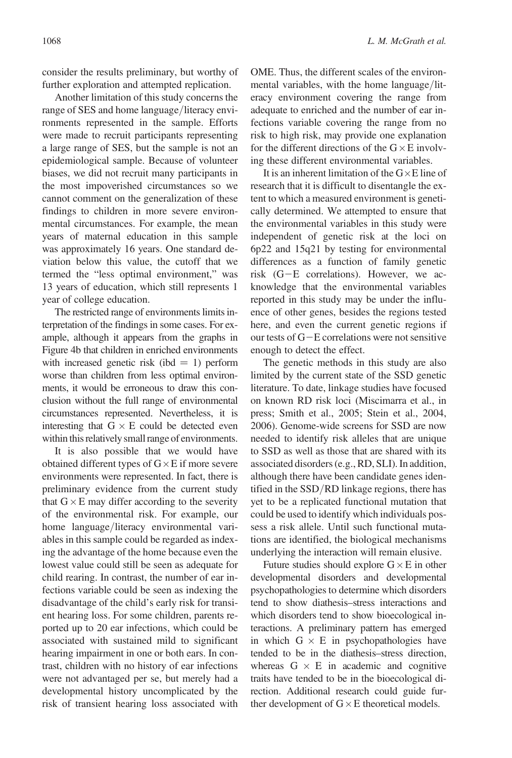consider the results preliminary, but worthy of further exploration and attempted replication.

Another limitation of this study concerns the range of SES and home language/literacy environments represented in the sample. Efforts were made to recruit participants representing a large range of SES, but the sample is not an epidemiological sample. Because of volunteer biases, we did not recruit many participants in the most impoverished circumstances so we cannot comment on the generalization of these findings to children in more severe environmental circumstances. For example, the mean years of maternal education in this sample was approximately 16 years. One standard deviation below this value, the cutoff that we termed the "less optimal environment," was 13 years of education, which still represents 1 year of college education.

The restricted range of environments limits interpretation of the findings in some cases. For example, although it appears from the graphs in Figure 4b that children in enriched environments with increased genetic risk (ibd  $= 1$ ) perform worse than children from less optimal environments, it would be erroneous to draw this conclusion without the full range of environmental circumstances represented. Nevertheless, it is interesting that  $G \times E$  could be detected even within this relatively small range of environments.

It is also possible that we would have obtained different types of  $G \times E$  if more severe environments were represented. In fact, there is preliminary evidence from the current study that  $G \times E$  may differ according to the severity of the environmental risk. For example, our home language/literacy environmental variables in this sample could be regarded as indexing the advantage of the home because even the lowest value could still be seen as adequate for child rearing. In contrast, the number of ear infections variable could be seen as indexing the disadvantage of the child's early risk for transient hearing loss. For some children, parents reported up to 20 ear infections, which could be associated with sustained mild to significant hearing impairment in one or both ears. In contrast, children with no history of ear infections were not advantaged per se, but merely had a developmental history uncomplicated by the risk of transient hearing loss associated with OME. Thus, the different scales of the environmental variables, with the home language/literacy environment covering the range from adequate to enriched and the number of ear infections variable covering the range from no risk to high risk, may provide one explanation for the different directions of the  $G \times E$  involving these different environmental variables.

It is an inherent limitation of the  $G \times E$  line of research that it is difficult to disentangle the extent to which a measured environment is genetically determined. We attempted to ensure that the environmental variables in this study were independent of genetic risk at the loci on 6p22 and 15q21 by testing for environmental differences as a function of family genetic risk  $(G-E$  correlations). However, we acknowledge that the environmental variables reported in this study may be under the influence of other genes, besides the regions tested here, and even the current genetic regions if our tests of  $G-E$  correlations were not sensitive enough to detect the effect.

The genetic methods in this study are also limited by the current state of the SSD genetic literature. To date, linkage studies have focused on known RD risk loci (Miscimarra et al., in press; Smith et al., 2005; Stein et al., 2004, 2006). Genome-wide screens for SSD are now needed to identify risk alleles that are unique to SSD as well as those that are shared with its associated disorders (e.g., RD, SLI). In addition, although there have been candidate genes identified in the SSD/RD linkage regions, there has yet to be a replicated functional mutation that could be used to identify which individuals possess a risk allele. Until such functional mutations are identified, the biological mechanisms underlying the interaction will remain elusive.

Future studies should explore  $G \times E$  in other developmental disorders and developmental psychopathologies to determine which disorders tend to show diathesis–stress interactions and which disorders tend to show bioecological interactions. A preliminary pattern has emerged in which  $G \times E$  in psychopathologies have tended to be in the diathesis–stress direction, whereas  $G \times E$  in academic and cognitive traits have tended to be in the bioecological direction. Additional research could guide further development of  $G \times E$  theoretical models.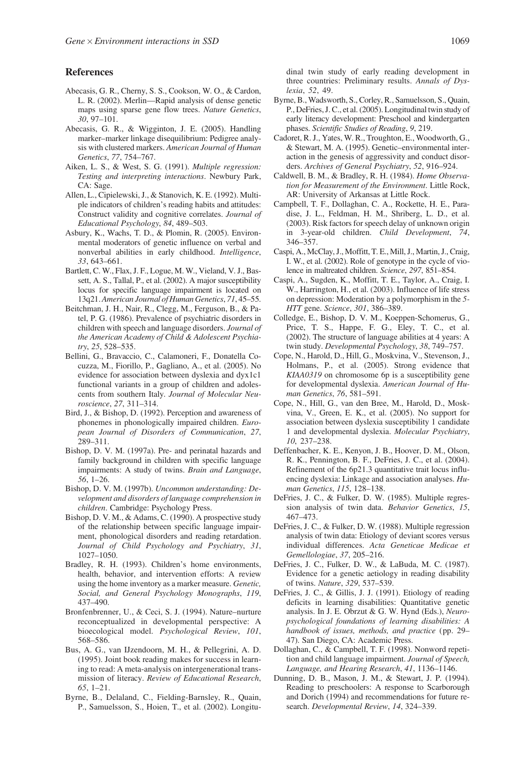#### References

- Abecasis, G. R., Cherny, S. S., Cookson, W. O., & Cardon, L. R. (2002). Merlin—Rapid analysis of dense genetic maps using sparse gene flow trees. Nature Genetics, 30, 97–101.
- Abecasis, G. R., & Wigginton, J. E. (2005). Handling marker–marker linkage disequilibrium: Pedigree analysis with clustered markers. American Journal of Human Genetics, 77, 754–767.
- Aiken, L. S., & West, S. G. (1991). Multiple regression: Testing and interpreting interactions. Newbury Park, CA: Sage.
- Allen, L., Cipielewski, J., & Stanovich, K. E. (1992). Multiple indicators of children's reading habits and attitudes: Construct validity and cognitive correlates. Journal of Educational Psychology, 84, 489–503.
- Asbury, K., Wachs, T. D., & Plomin, R. (2005). Environmental moderators of genetic influence on verbal and nonverbal abilities in early childhood. Intelligence, 33, 643–661.
- Bartlett, C. W., Flax, J. F., Logue, M. W., Vieland, V. J., Bassett, A. S., Tallal, P., et al. (2002). A major susceptibility locus for specific language impairment is located on 13q21.American Journal of Human Genetics, 71, 45–55.
- Beitchman, J. H., Nair, R., Clegg, M., Ferguson, B., & Patel, P. G. (1986). Prevalence of psychiatric disorders in children with speech and language disorders. Journal of the American Academy of Child & Adolescent Psychiatry, 25, 528–535.
- Bellini, G., Bravaccio, C., Calamoneri, F., Donatella Cocuzza, M., Fiorillo, P., Gagliano, A., et al. (2005). No evidence for association between dyslexia and dyx1c1 functional variants in a group of children and adolescents from southern Italy. Journal of Molecular Neuroscience, 27, 311–314.
- Bird, J., & Bishop, D. (1992). Perception and awareness of phonemes in phonologically impaired children. European Journal of Disorders of Communication, 27, 289–311.
- Bishop, D. V. M. (1997a). Pre- and perinatal hazards and family background in children with specific language impairments: A study of twins. Brain and Language, 56, 1–26.
- Bishop, D. V. M. (1997b). Uncommon understanding: Development and disorders of language comprehension in children. Cambridge: Psychology Press.
- Bishop, D. V. M., & Adams, C. (1990). A prospective study of the relationship between specific language impairment, phonological disorders and reading retardation. Journal of Child Psychology and Psychiatry, 31, 1027–1050.
- Bradley, R. H. (1993). Children's home environments, health, behavior, and intervention efforts: A review using the home inventory as a marker measure. Genetic, Social, and General Psychology Monographs, 119, 437–490.
- Bronfenbrenner, U., & Ceci, S. J. (1994). Nature–nurture reconceptualized in developmental perspective: A bioecological model. Psychological Review, 101, 568–586.
- Bus, A. G., van IJzendoorn, M. H., & Pellegrini, A. D. (1995). Joint book reading makes for success in learning to read: A meta-analysis on intergenerational transmission of literacy. Review of Educational Research, 65, 1–21.
- Byrne, B., Delaland, C., Fielding-Barnsley, R., Quain, P., Samuelsson, S., Hoien, T., et al. (2002). Longitu-

dinal twin study of early reading development in three countries: Preliminary results. Annals of Dyslexia, 52, 49.

- Byrne, B.,Wadsworth, S., Corley, R., Samuelsson, S., Quain, P., DeFries, J. C., et al. (2005). Longitudinal twin study of early literacy development: Preschool and kindergarten phases. Scientific Studies of Reading, 9, 219.
- Cadoret, R. J., Yates, W. R., Troughton, E., Woodworth, G., & Stewart, M. A. (1995). Genetic–environmental interaction in the genesis of aggressivity and conduct disorders. Archives of General Psychiatry, 52, 916–924.
- Caldwell, B. M., & Bradley, R. H. (1984). Home Observation for Measurement of the Environment. Little Rock, AR: University of Arkansas at Little Rock.
- Campbell, T. F., Dollaghan, C. A., Rockette, H. E., Paradise, J. L., Feldman, H. M., Shriberg, L. D., et al. (2003). Risk factors for speech delay of unknown origin in 3-year-old children. Child Development, 74, 346–357.
- Caspi, A., McClay, J., Moffitt, T. E., Mill, J., Martin, J., Craig, I. W., et al. (2002). Role of genotype in the cycle of violence in maltreated children. Science, 297, 851–854.
- Caspi, A., Sugden, K., Moffitt, T. E., Taylor, A., Craig, I. W., Harrington, H., et al. (2003). Influence of life stress on depression: Moderation by a polymorphism in the 5- HTT gene. Science, 301, 386–389.
- Colledge, E., Bishop, D. V. M., Koeppen-Schomerus, G., Price, T. S., Happe, F. G., Eley, T. C., et al. (2002). The structure of language abilities at 4 years: A twin study. Developmental Psychology, 38, 749–757.
- Cope, N., Harold, D., Hill, G., Moskvina, V., Stevenson, J., Holmans, P., et al. (2005). Strong evidence that KIAA0319 on chromosome 6p is a susceptibility gene for developmental dyslexia. American Journal of Human Genetics, 76, 581–591.
- Cope, N., Hill, G., van den Bree, M., Harold, D., Moskvina, V., Green, E. K., et al. (2005). No support for association between dyslexia susceptibility 1 candidate 1 and developmental dyslexia. Molecular Psychiatry, 10, 237–238.
- Deffenbacher, K. E., Kenyon, J. B., Hoover, D. M., Olson, R. K., Pennington, B. F., DeFries, J. C., et al. (2004). Refinement of the 6p21.3 quantitative trait locus influencing dyslexia: Linkage and association analyses. Human Genetics, 115, 128–138.
- DeFries, J. C., & Fulker, D. W. (1985). Multiple regression analysis of twin data. Behavior Genetics, 15, 467–473.
- DeFries, J. C., & Fulker, D. W. (1988). Multiple regression analysis of twin data: Etiology of deviant scores versus individual differences. Acta Geneticae Medicae et Gemellologiae, 37, 205–216.
- DeFries, J. C., Fulker, D. W., & LaBuda, M. C. (1987). Evidence for a genetic aetiology in reading disability of twins. Nature, 329, 537–539.
- DeFries, J. C., & Gillis, J. J. (1991). Etiology of reading deficits in learning disabilities: Quantitative genetic analysis. In J. E. Obrzut & G. W. Hynd (Eds.), Neuropsychological foundations of learning disabilities: A handbook of issues, methods, and practice (pp. 29– 47). San Diego, CA: Academic Press.
- Dollaghan, C., & Campbell, T. F. (1998). Nonword repetition and child language impairment. Journal of Speech, Language, and Hearing Research, 41, 1136–1146.
- Dunning, D. B., Mason, J. M., & Stewart, J. P. (1994). Reading to preschoolers: A response to Scarborough and Dorich (1994) and recommendations for future research. Developmental Review, 14, 324–339.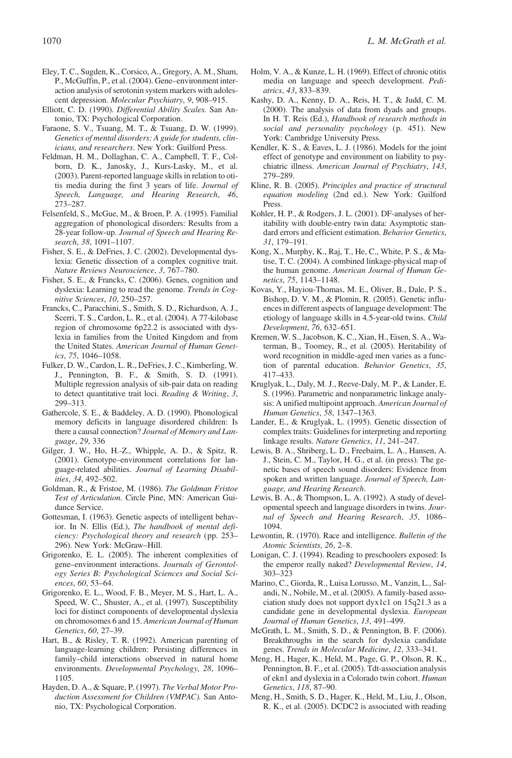- Eley, T. C., Sugden, K., Corsico, A., Gregory, A. M., Sham, P., McGuffin, P., et al. (2004). Gene–environment interaction analysis of serotonin system markers with adolescent depression. Molecular Psychiatry, 9, 908–915.
- Elliott, C. D. (1990). Differential Ability Scales. San Antonio, TX: Psychological Corporation.
- Faraone, S. V., Tsuang, M. T., & Tsuang, D. W. (1999). Genetics of mental disorders: A guide for students, clinicians, and researchers. New York: Guilford Press.
- Feldman, H. M., Dollaghan, C. A., Campbell, T. F., Colborn, D. K., Janosky, J., Kurs-Lasky, M., et al. (2003). Parent-reported language skills in relation to otitis media during the first 3 years of life. Journal of Speech, Language, and Hearing Research, 46, 273–287.
- Felsenfeld, S., McGue, M., & Broen, P. A. (1995). Familial aggregation of phonological disorders: Results from a 28-year follow-up. Journal of Speech and Hearing Research, 38, 1091–1107.
- Fisher, S. E., & DeFries, J. C. (2002). Developmental dyslexia: Genetic dissection of a complex cognitive trait. Nature Reviews Neuroscience, 3, 767–780.
- Fisher, S. E., & Francks, C. (2006). Genes, cognition and dyslexia: Learning to read the genome. Trends in Cognitive Sciences, 10, 250–257.
- Francks, C., Paracchini, S., Smith, S. D., Richardson, A. J., Scerri, T. S., Cardon, L. R., et al. (2004). A 77-kilobase region of chromosome 6p22.2 is associated with dyslexia in families from the United Kingdom and from the United States. American Journal of Human Genetics, 75, 1046–1058.
- Fulker, D. W., Cardon, L. R., DeFries, J. C., Kimberling, W. J., Pennington, B. F., & Smith, S. D. (1991). Multiple regression analysis of sib-pair data on reading to detect quantitative trait loci. Reading & Writing, 3, 299–313.
- Gathercole, S. E., & Baddeley, A. D. (1990). Phonological memory deficits in language disordered children: Is there a causal connection? Journal of Memory and Language, 29, 336
- Gilger, J. W., Ho, H.-Z., Whipple, A. D., & Spitz, R. (2001). Genotype–environment correlations for language-related abilities. Journal of Learning Disabilities, 34, 492–502.
- Goldman, R., & Fristoe, M. (1986). The Goldman Fristoe Test of Articulation. Circle Pine, MN: American Guidance Service.
- Gottesman, I. (1963). Genetic aspects of intelligent behavior. In N. Ellis (Ed.), The handbook of mental deficiency: Psychological theory and research (pp. 253– 296). New York: McGraw–Hill.
- Grigorenko, E. L. (2005). The inherent complexities of gene–environment interactions. Journals of Gerontology Series B: Psychological Sciences and Social Sciences, 60, 53–64.
- Grigorenko, E. L., Wood, F. B., Meyer, M. S., Hart, L. A., Speed, W. C., Shuster, A., et al. (1997). Susceptibility loci for distinct components of developmental dyslexia on chromosomes 6 and 15. American Journal of Human Genetics, 60, 27–39.
- Hart, B., & Risley, T. R. (1992). American parenting of language-learning children: Persisting differences in family–child interactions observed in natural home environments. Developmental Psychology, 28, 1096– 1105.
- Hayden, D. A., & Square, P. (1997). The Verbal Motor Production Assessment for Children (VMPAC). San Antonio, TX: Psychological Corporation.
- Holm, V. A., & Kunze, L. H. (1969). Effect of chronic otitis media on language and speech development. Pediatrics, 43, 833–839.
- Kashy, D. A., Kenny, D. A., Reis, H. T., & Judd, C. M. (2000). The analysis of data from dyads and groups. In H. T. Reis (Ed.), Handbook of research methods in social and personality psychology (p. 451). New York: Cambridge University Press.
- Kendler, K. S., & Eaves, L. J. (1986). Models for the joint effect of genotype and environment on liability to psychiatric illness. American Journal of Psychiatry, 143, 279–289.
- Kline, R. B. (2005). Principles and practice of structural equation modeling (2nd ed.). New York: Guilford Press.
- Kohler, H. P., & Rodgers, J. L. (2001). DF-analyses of heritability with double-entry twin data: Asymptotic standard errors and efficient estimation. Behavior Genetics, 31, 179–191.
- Kong, X., Murphy, K., Raj, T., He, C., White, P. S., & Matise, T. C. (2004). A combined linkage-physical map of the human genome. American Journal of Human Genetics, 75, 1143–1148.
- Kovas, Y., Hayiou-Thomas, M. E., Oliver, B., Dale, P. S., Bishop, D. V. M., & Plomin, R. (2005). Genetic influences in different aspects of language development: The etiology of language skills in 4.5-year-old twins. Child Development, 76, 632–651.
- Kremen, W. S., Jacobson, K. C., Xian, H., Eisen, S. A., Waterman, B., Toomey, R., et al. (2005). Heritability of word recognition in middle-aged men varies as a function of parental education. Behavior Genetics, 35, 417–433.
- Kruglyak, L., Daly, M. J., Reeve-Daly, M. P., & Lander, E. S. (1996). Parametric and nonparametric linkage analysis: A unified multipoint approach. American Journal of Human Genetics, 58, 1347–1363.
- Lander, E., & Kruglyak, L. (1995). Genetic dissection of complex traits: Guidelines for interpreting and reporting linkage results. Nature Genetics, 11, 241–247.
- Lewis, B. A., Shriberg, L. D., Freebairn, L. A., Hansen, A. J., Stein, C. M., Taylor, H. G., et al. (in press). The genetic bases of speech sound disorders: Evidence from spoken and written language. Journal of Speech, Language, and Hearing Research.
- Lewis, B. A., & Thompson, L. A. (1992). A study of developmental speech and language disorders in twins. Journal of Speech and Hearing Research, 35, 1086– 1094.
- Lewontin, R. (1970). Race and intelligence. Bulletin of the Atomic Scientists, 26, 2–8.
- Lonigan, C. J. (1994). Reading to preschoolers exposed: Is the emperor really naked? Developmental Review, 14, 303–323
- Marino, C., Giorda, R., Luisa Lorusso, M., Vanzin, L., Salandi, N., Nobile, M., et al. (2005). A family-based association study does not support dyx1c1 on 15q21.3 as a candidate gene in developmental dyslexia. European Journal of Human Genetics, 13, 491–499.
- McGrath, L. M., Smith, S. D., & Pennington, B. F. (2006). Breakthroughs in the search for dyslexia candidate genes. Trends in Molecular Medicine, 12, 333–341.
- Meng, H., Hager, K., Held, M., Page, G. P., Olson, R. K., Pennington, B. F., et al. (2005). Tdt-association analysis of ekn1 and dyslexia in a Colorado twin cohort. Human Genetics, 118, 87–90.
- Meng, H., Smith, S. D., Hager, K., Held, M., Liu, J., Olson, R. K., et al. (2005). DCDC2 is associated with reading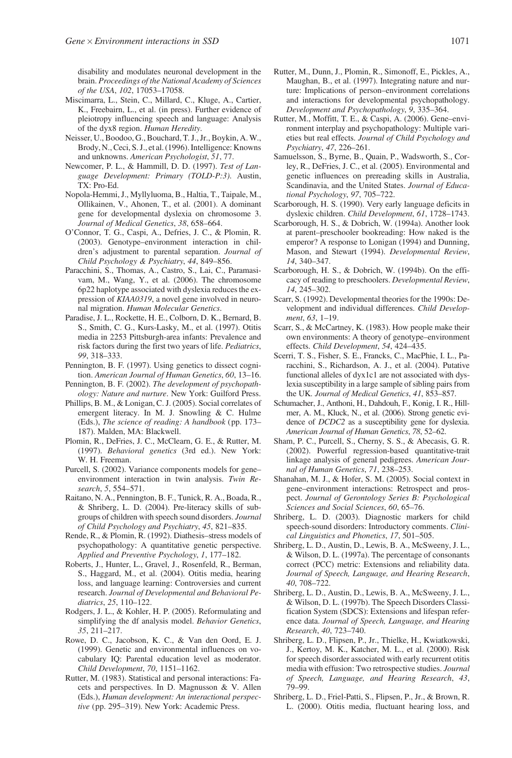disability and modulates neuronal development in the brain. Proceedings of the National Academy of Sciences of the USA, 102, 17053–17058.

- Miscimarra, L., Stein, C., Millard, C., Kluge, A., Cartier, K., Freebairn, L., et al. (in press). Further evidence of pleiotropy influencing speech and language: Analysis of the dyx8 region. Human Heredity.
- Neisser, U., Boodoo, G., Bouchard, T. J., Jr., Boykin, A. W., Brody, N., Ceci, S. J., et al. (1996). Intelligence: Knowns and unknowns. American Psychologist, 51, 77.
- Newcomer, P. L., & Hammill, D. D. (1997). Test of Language Development: Primary (TOLD-P:3). Austin, TX: Pro-Ed.
- Nopola-Hemmi, J., Myllyluoma, B., Haltia, T., Taipale, M., Ollikainen, V., Ahonen, T., et al. (2001). A dominant gene for developmental dyslexia on chromosome 3. Journal of Medical Genetics, 38, 658–664.
- O'Connor, T. G., Caspi, A., Defries, J. C., & Plomin, R. (2003). Genotype–environment interaction in children's adjustment to parental separation. Journal of Child Psychology & Psychiatry, 44, 849–856.
- Paracchini, S., Thomas, A., Castro, S., Lai, C., Paramasivam, M., Wang, Y., et al. (2006). The chromosome 6p22 haplotype associated with dyslexia reduces the expression of KIAA0319, a novel gene involved in neuronal migration. Human Molecular Genetics.
- Paradise, J. L., Rockette, H. E., Colborn, D. K., Bernard, B. S., Smith, C. G., Kurs-Lasky, M., et al. (1997). Otitis media in 2253 Pittsburgh-area infants: Prevalence and risk factors during the first two years of life. Pediatrics, 99, 318–333.
- Pennington, B. F. (1997). Using genetics to dissect cognition. American Journal of Human Genetics, 60, 13–16.
- Pennington, B. F. (2002). The development of psychopathology: Nature and nurture. New York: Guilford Press.
- Phillips, B. M., & Lonigan, C. J. (2005). Social correlates of emergent literacy. In M. J. Snowling & C. Hulme (Eds.), The science of reading: A handbook (pp. 173– 187). Malden, MA: Blackwell.
- Plomin, R., DeFries, J. C., McClearn, G. E., & Rutter, M. (1997). Behavioral genetics (3rd ed.). New York: W. H. Freeman.
- Purcell, S. (2002). Variance components models for gene– environment interaction in twin analysis. Twin Research, 5, 554–571.
- Raitano, N. A., Pennington, B. F., Tunick, R. A., Boada, R., & Shriberg, L. D. (2004). Pre-literacy skills of subgroups of children with speech sound disorders. Journal of Child Psychology and Psychiatry, 45, 821–835.
- Rende, R., & Plomin, R. (1992). Diathesis–stress models of psychopathology: A quantitative genetic perspective. Applied and Preventive Psychology, 1, 177–182.
- Roberts, J., Hunter, L., Gravel, J., Rosenfeld, R., Berman, S., Haggard, M., et al. (2004). Otitis media, hearing loss, and language learning: Controversies and current research. Journal of Developmental and Behavioral Pediatrics, 25, 110–122.
- Rodgers, J. L., & Kohler, H. P. (2005). Reformulating and simplifying the df analysis model. Behavior Genetics, 35, 211–217.
- Rowe, D. C., Jacobson, K. C., & Van den Oord, E. J. (1999). Genetic and environmental influences on vocabulary IQ: Parental education level as moderator. Child Development, 70, 1151–1162.
- Rutter, M. (1983). Statistical and personal interactions: Facets and perspectives. In D. Magnusson & V. Allen (Eds.), Human development: An interactional perspective (pp. 295–319). New York: Academic Press.
- Rutter, M., Dunn, J., Plomin, R., Simonoff, E., Pickles, A., Maughan, B., et al. (1997). Integrating nature and nurture: Implications of person–environment correlations and interactions for developmental psychopathology. Development and Psychopathology, 9, 335–364.
- Rutter, M., Moffitt, T. E., & Caspi, A. (2006). Gene–environment interplay and psychopathology: Multiple varieties but real effects. Journal of Child Psychology and Psychiatry, 47, 226–261.
- Samuelsson, S., Byrne, B., Quain, P., Wadsworth, S., Corley, R., DeFries, J. C., et al. (2005). Environmental and genetic influences on prereading skills in Australia, Scandinavia, and the United States. Journal of Educational Psychology, 97, 705–722.
- Scarborough, H. S. (1990). Very early language deficits in dyslexic children. Child Development, 61, 1728–1743.
- Scarborough, H. S., & Dobrich, W. (1994a). Another look at parent–preschooler bookreading: How naked is the emperor? A response to Lonigan (1994) and Dunning, Mason, and Stewart (1994). Developmental Review, 14, 340–347.
- Scarborough, H. S., & Dobrich, W. (1994b). On the efficacy of reading to preschoolers. Developmental Review, 14, 245–302.
- Scarr, S. (1992). Developmental theories for the 1990s: Development and individual differences. Child Development, 63, 1–19.
- Scarr, S., & McCartney, K. (1983). How people make their own environments: A theory of genotype–environment effects. Child Development, 54, 424–435.
- Scerri, T. S., Fisher, S. E., Francks, C., MacPhie, I. L., Paracchini, S., Richardson, A. J., et al. (2004). Putative functional alleles of dyx1c1 are not associated with dyslexia susceptibility in a large sample of sibling pairs from the UK. Journal of Medical Genetics, 41, 853-857.
- Schumacher, J., Anthoni, H., Dahdouh, F., Konig, I. R., Hillmer, A. M., Kluck, N., et al. (2006). Strong genetic evidence of DCDC2 as a susceptibility gene for dyslexia. American Journal of Human Genetics, 78, 52–62.
- Sham, P. C., Purcell, S., Cherny, S. S., & Abecasis, G. R. (2002). Powerful regression-based quantitative-trait linkage analysis of general pedigrees. American Journal of Human Genetics, 71, 238–253.
- Shanahan, M. J., & Hofer, S. M. (2005). Social context in gene–environment interactions: Retrospect and prospect. Journal of Gerontology Series B: Psychological Sciences and Social Sciences, 60, 65–76.
- Shriberg, L. D. (2003). Diagnostic markers for child speech-sound disorders: Introductory comments. Clinical Linguistics and Phonetics, 17, 501–505.
- Shriberg, L. D., Austin, D., Lewis, B. A., McSweeny, J. L., & Wilson, D. L. (1997a). The percentage of consonants correct (PCC) metric: Extensions and reliability data. Journal of Speech, Language, and Hearing Research, 40, 708–722.
- Shriberg, L. D., Austin, D., Lewis, B. A., McSweeny, J. L., & Wilson, D. L. (1997b). The Speech Disorders Classification System (SDCS): Extensions and lifespan reference data. Journal of Speech, Language, and Hearing Research, 40, 723–740.
- Shriberg, L. D., Flipsen, P., Jr., Thielke, H., Kwiatkowski, J., Kertoy, M. K., Katcher, M. L., et al. (2000). Risk for speech disorder associated with early recurrent otitis media with effusion: Two retrospective studies. Journal of Speech, Language, and Hearing Research, 43, 79–99.
- Shriberg, L. D., Friel-Patti, S., Flipsen, P., Jr., & Brown, R. L. (2000). Otitis media, fluctuant hearing loss, and